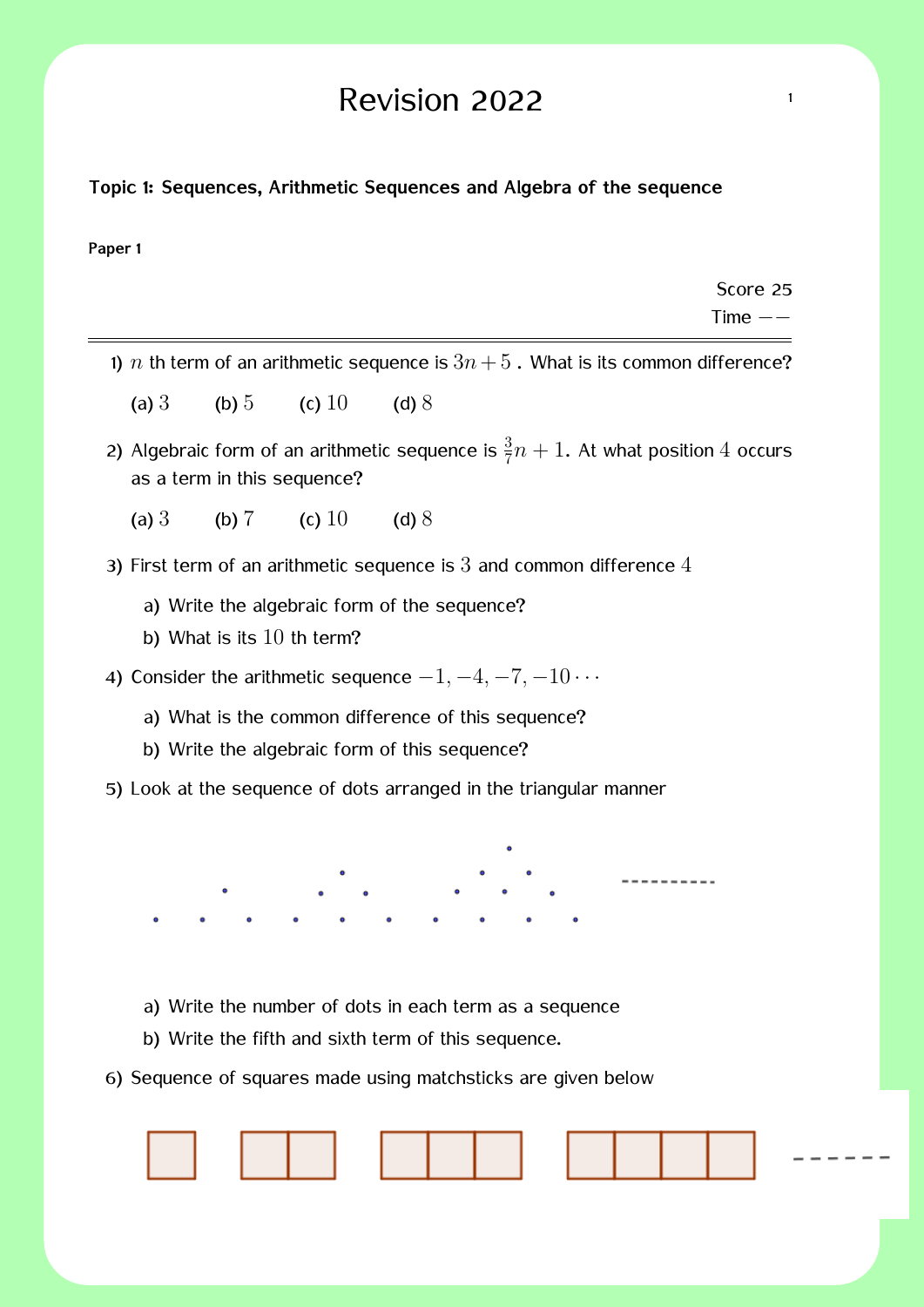## Revision 2022  $\frac{1}{1}$

#### **Topic 1: Sequences, Arithmetic Sequences and Algebra of the sequence**

#### **Paper 1**

Score 25 Time *−−*

- 1) *n* th term of an arithmetic sequence is  $3n+5$ . What is its common difference?
	- (a)  $3$  (b)  $5$  (c)  $10$  (d)  $8$
- 2) Algebraic form of an arithmetic sequence is  $\frac{3}{7}n + 1$ . At what position 4 occurs as a term in this sequence?
	- (a)  $3$  (b)  $7$  (c)  $10$  (d)  $8$
- 3) First term of an arithmetic sequence is  $3$  and common difference  $4$ 
	- a) Write the algebraic form of the sequence?
	- b) What is its 10 th term?
- 4) Consider the arithmetic sequence *−*1*, −*4*, −*7*, −*10 *· · ·*
	- a) What is the common difference of this sequence?
	- b) Write the algebraic form of this sequence?
- 5) Look at the sequence of dots arranged in the triangular manner

----------

- a) Write the number of dots in each term as a sequence
- b) Write the fifth and sixth term of this sequence.
- 6) Sequence of squares made using matchsticks are given below

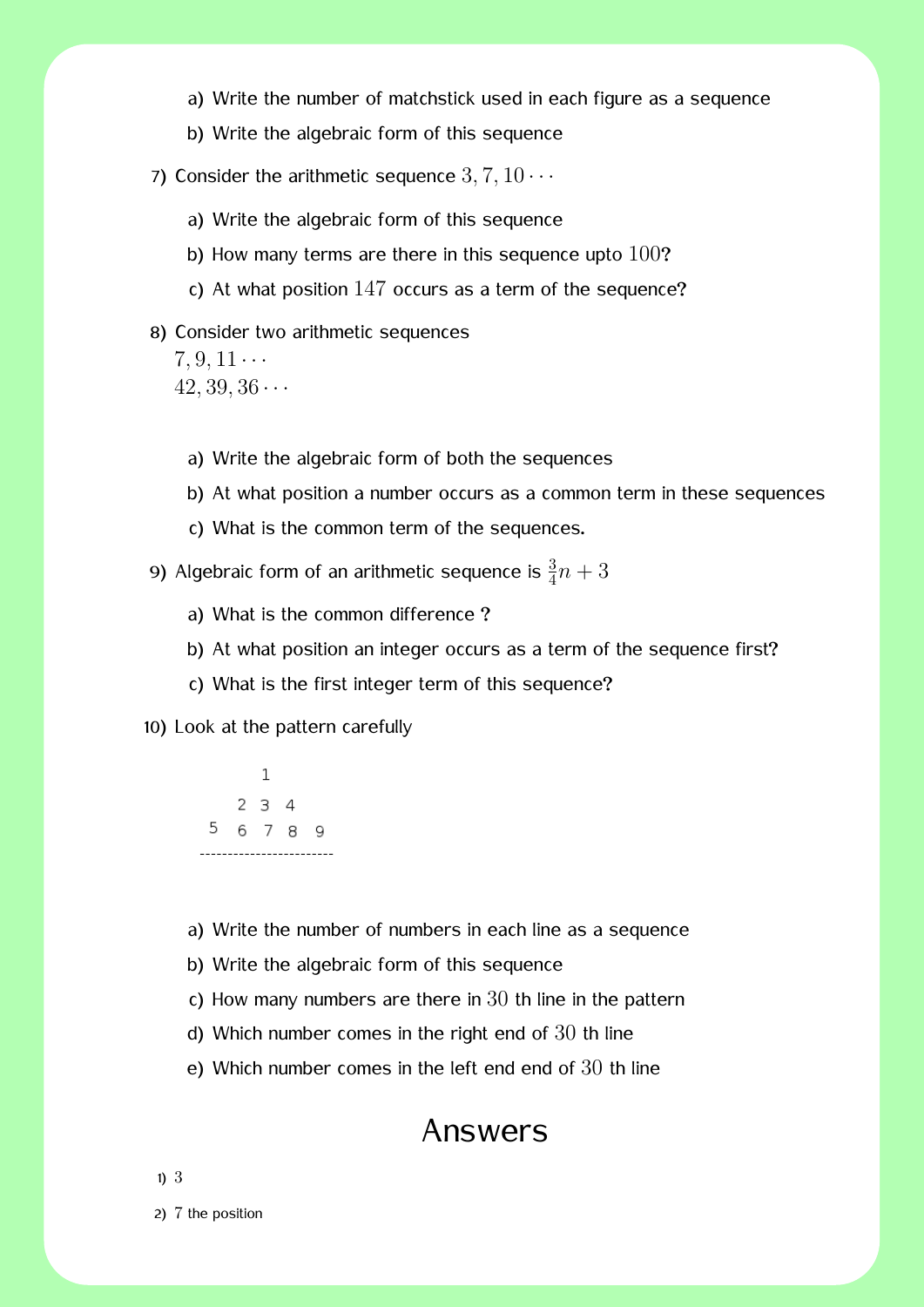- a) Write the number of matchstick used in each figure as a sequence
- b) Write the algebraic form of this sequence
- 7) Consider the arithmetic sequence  $3, 7, 10 \cdots$ 
	- a) Write the algebraic form of this sequence
	- b) How many terms are there in this sequence upto 100?
	- c) At what position 147 occurs as a term of the sequence?
- 8) Consider two arithmetic sequences

 $7, 9, 11 \cdots$ 42*,* 39*,* 36 *· · ·*

- a) Write the algebraic form of both the sequences
- b) At what position a number occurs as a common term in these sequences
- c) What is the common term of the sequences.
- 9) Algebraic form of an arithmetic sequence is  $\frac{3}{4}n + 3$ 
	- a) What is the common difference ?
	- b) At what position an integer occurs as a term of the sequence first?
	- c) What is the first integer term of this sequence?

10) Look at the pattern carefully

 $\mathbf{1}$  $234$ 5 6 7 8 9

- a) Write the number of numbers in each line as a sequence
- b) Write the algebraic form of this sequence
- c) How many numbers are there in  $30$  th line in the pattern
- d) Which number comes in the right end of 30 th line
- e) Which number comes in the left end end of 30 th line

### Answers

1) 3

2) 7 the position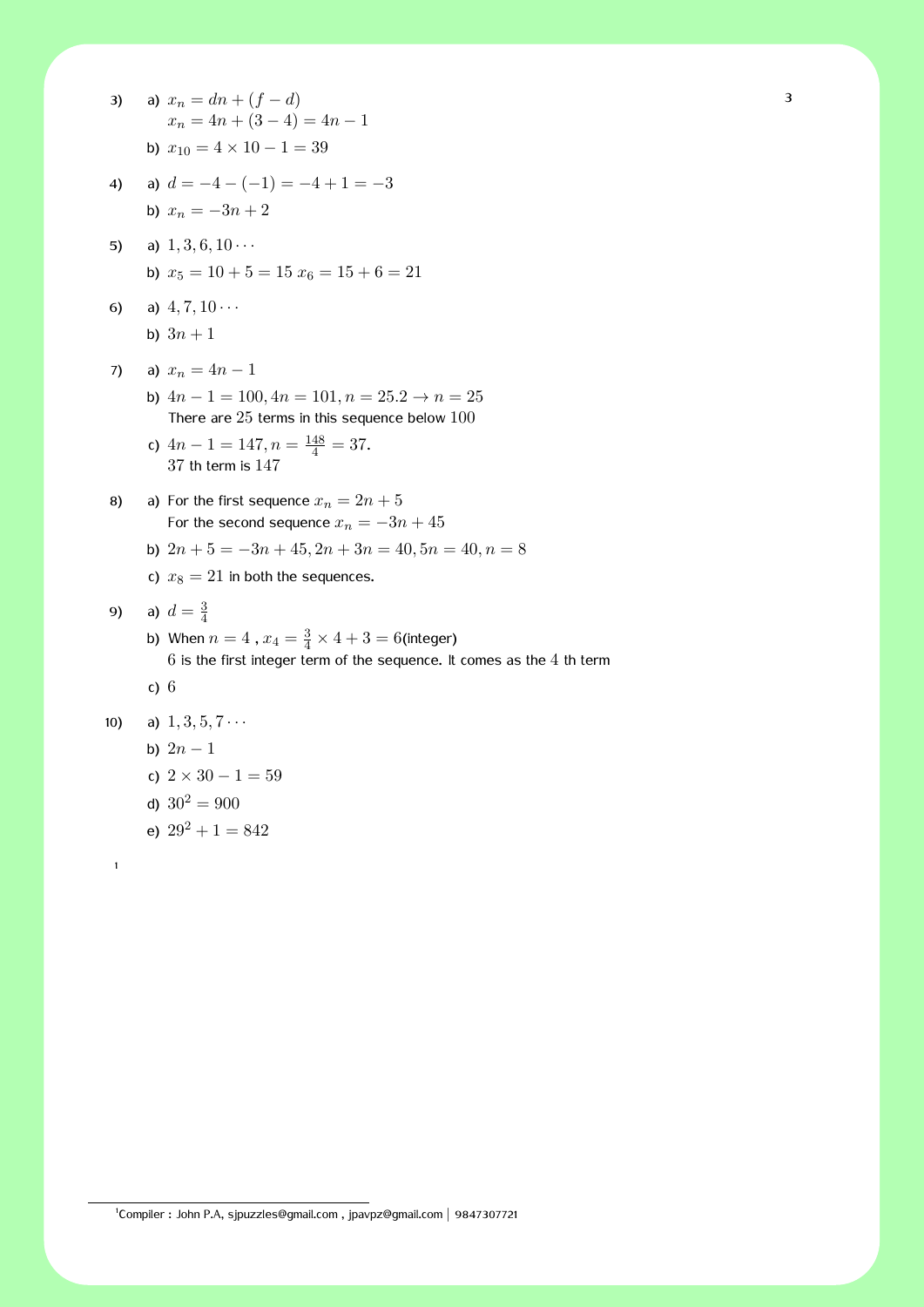| 3)  | a) $x_n = dn + (f - d)$<br>$x_n = 4n + (3 - 4) = 4n - 1$                                                                                       | Э |
|-----|------------------------------------------------------------------------------------------------------------------------------------------------|---|
|     | b) $x_{10} = 4 \times 10 - 1 = 39$                                                                                                             |   |
| 4)  | a) $d = -4 - (-1) = -4 + 1 = -3$                                                                                                               |   |
|     | b) $x_n = -3n + 2$                                                                                                                             |   |
| 5)  | a) $1, 3, 6, 10 \cdots$                                                                                                                        |   |
|     | b) $x_5 = 10 + 5 = 15$ $x_6 = 15 + 6 = 21$                                                                                                     |   |
| 6)  | a) $4, 7, 10 \cdots$                                                                                                                           |   |
|     | b) $3n + 1$                                                                                                                                    |   |
| 7)  | a) $x_n = 4n - 1$                                                                                                                              |   |
|     | b) $4n - 1 = 100$ , $4n = 101$ , $n = 25.2 \rightarrow n = 25$<br>There are $25$ terms in this sequence below $100$                            |   |
|     | c) $4n - 1 = 147, n = \frac{148}{4} = 37.$<br>$37$ th term is $147$                                                                            |   |
| 8)  | a) For the first sequence $x_n = 2n + 5$<br>For the second sequence $x_n = -3n + 45$                                                           |   |
|     | b) $2n + 5 = -3n + 45$ , $2n + 3n = 40$ , $5n = 40$ , $n = 8$                                                                                  |   |
|     | c) $x_8 = 21$ in both the sequences.                                                                                                           |   |
| 9)  | a) $d = \frac{3}{4}$                                                                                                                           |   |
|     | b) When $n = 4$ , $x_4 = \frac{3}{4} \times 4 + 3 = 6$ (integer)<br>$6$ is the first integer term of the sequence. It comes as the $4$ th term |   |
|     | c) $6$                                                                                                                                         |   |
| 10) | a) $1, 3, 5, 7 \cdots$                                                                                                                         |   |
|     | b) $2n-1$                                                                                                                                      |   |
|     | c) $2 \times 30 - 1 = 59$                                                                                                                      |   |
|     | d) $30^2 = 900$                                                                                                                                |   |

e)  $29^2 + 1 = 842$ 

1

1 Compiler : John P.A, sjpuzzles@gmail.com , jpavpz@gmail.com *|* 9847307721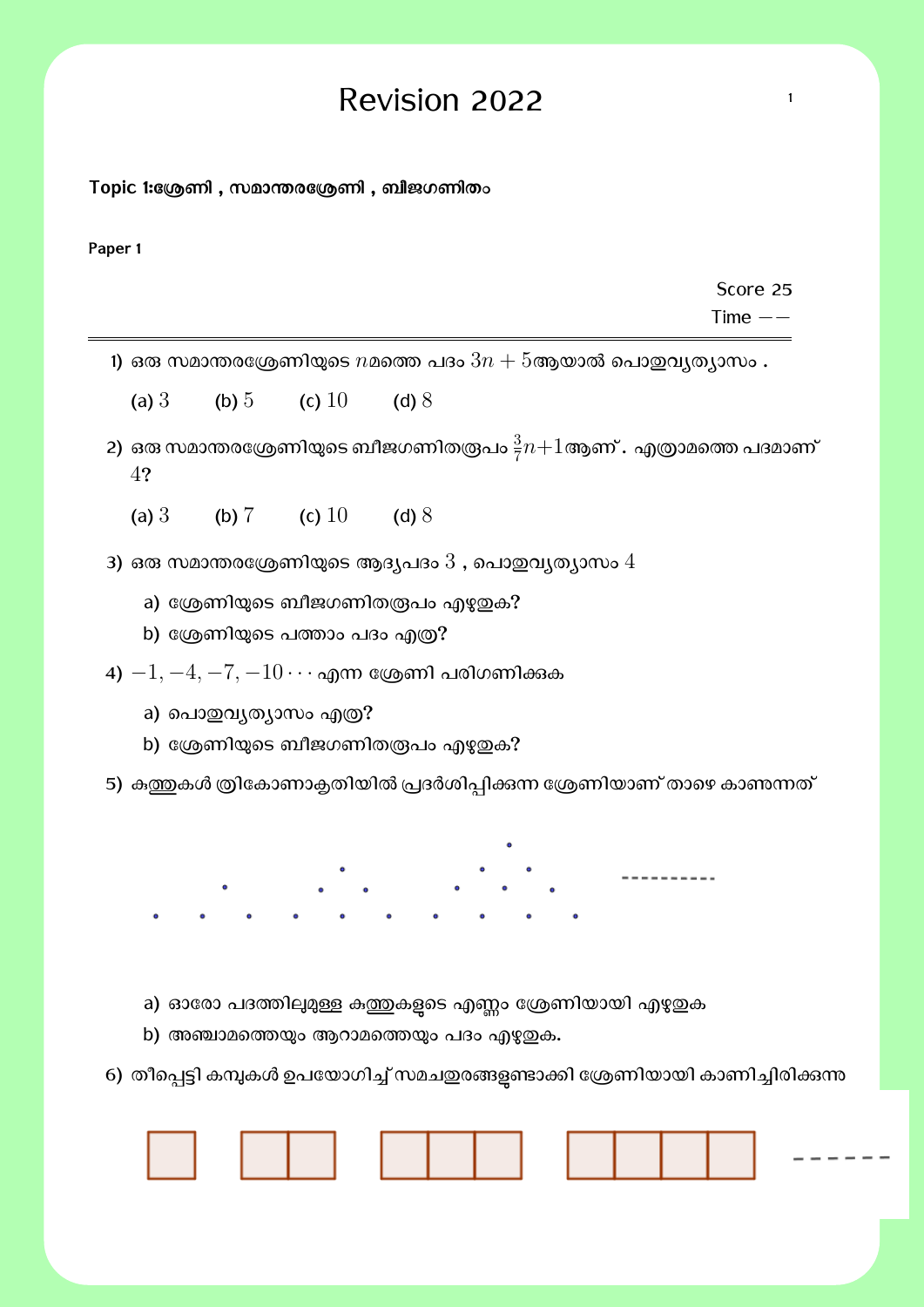# $\text{Revision } 2022$

**Topic 1:േΚണി , സമാɸരേΚണി , ബീജഗണിതം**

**Paper 1**

Score 25

Time *−−*

- 1) ഒരു സമാന്തരശ്രേണിയുടെ  $n$ മത്തെ പദം  $3n + 5$ ആയാൽ പൊഇവ്യത്യാസം .
	- (a)  $3$  (b)  $5$  (c)  $10$  (d)  $8$
- 2) ഒരു സമാന്തരശ്രേണിയുടെ ബീജഗണിതരൂപം  $\frac{3}{7}n{+}1$ ആണ് . എത്രാമത്തെ പദമാണ് 4?
	- (a) 3 (b) 7 (c) 10 (d) 8
- 3) ഒരു സമാന്തരശ്രേണിയുടെ ആദൃപദം  $3$  , പൊഇവൃതൃാസം  $4$ 
	- a) ശ്രേണിയുടെ ബീജഗണിതരൂപം എഴുതുക?
	- b) ശ്രേണിയുടെ പത്താം പദം എത്ര?
- +)  $-1, -4, -7, -10 \cdots$  എന്ന ശ്രേണി പരിഗണിക്കുക
	- a) പൊതുവൃത്യാസം എത്ര?
	- b) ശ്രേണിയുടെ ബീജഗണിതരൂപം എഴുതുക?
- 5) കുത്തുകൾ ത്രികോണാക്ലതിയിൽ പ്രദർശിപ്പിക്കുന്ന ശ്രേണിയാണ് താഴെ കാണുന്നത്

- a) ഓരോ പദത്തിലുമുള്ള കത്തകളടെ എണ്ണം ശ്രേണിയായി എഴുതുക
- b) അഞ്ചാമത്തെയും ആറാമത്തെയും പദം എഴുതുക.
- 6) തീപ്പെട്ടി കമ്പുകൾ ഉപയോഗിച്ച് സമചഇരങ്ങളണ്ടാക്കി ശ്രേണിയായി കാണിച്ചിരിക്കുന്ന

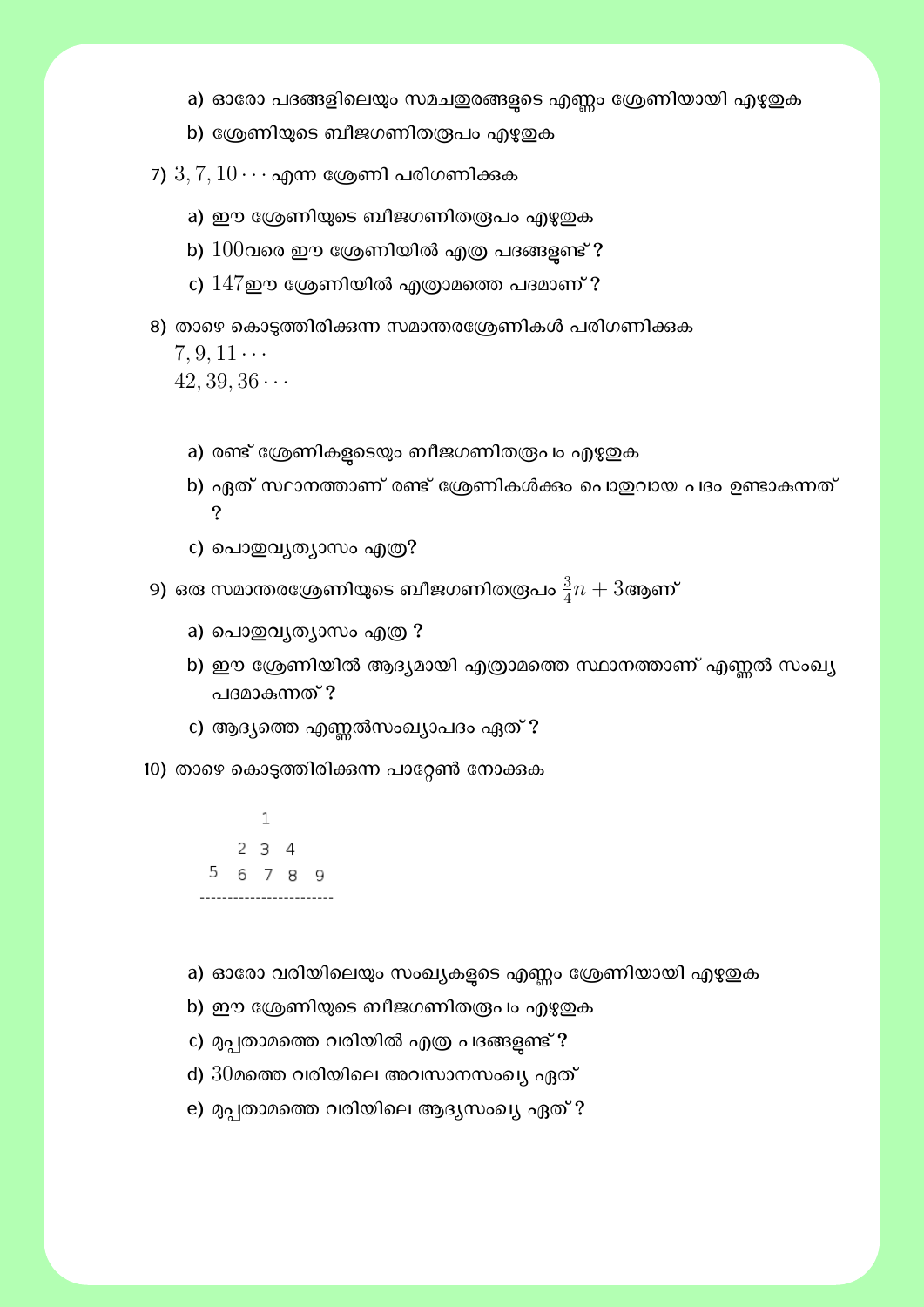- a) ഓരോ പദങ്ങളിലെയും സമചഇരങ്ങളടെ എണ്ണം ശ്രേണിയായി എഴുഇക
- b) ശ്രേണിയുടെ ബീജഗണിതരൂപം എഴുതുക
- 7)  $3, 7, 10 \cdots$  എന്ന ശ്രേണി പരിഗണിക്കുക
	- a) ഈ ശ്രേണിയുടെ ബീജഗണിതരൂപം എഴുഇക
	- b)  $100$ വരെ ഈ ശ്രേണിയിൽ എത്ര പദങ്ങളണ്ട് ?
	- c)  $147$ ഈ ശ്രേണിയിൽ എത്രാമത്തെ പദമാണ് ?
- 8) താഴെ കൊടുത്തിരിക്കന്ന സമാന്തരശ്രേണികൾ പരിഗണിക്കുക

 $7, 9, 11 \cdots$  $42, 39, 36 \cdots$ 

- a) രണ്ട് ശ്രേണികളടെയും ബീജഗണിതരൂപം എഴുതുക
- b) ഏത് സ്ഥാനത്താണ് രണ്ട് ശ്രേണികൾക്കം പൊഇവായ പദം ഉണ്ടാകുന്നത് ?
- c) പൊഇവൃത്യാസം എത്ര?
- 9) ഒരു സമാന്തരശ്രേണിയുടെ ബീജഗണിതരൂപം  $\frac{3}{4}n+3$ ആണ്
	- a) പൊതുവൃത്യാസം എത്ര ?
	- b) ഈ ശ്രേണിയിൽ ആദ്യമായി എത്രാമത്തെ സ്ഥാനത്താണ് എണ്ണൽ സംഖ്യ പദമാകന്നത് ?
	- c) ആദ്യത്തെ എണ്ണൽസംഖ്യാപദം ഏത് ?
- 10) താഴെ കൊടുത്തിരിക്കന്ന പാറ്റേൺ നോക്കുക

 $\,1$  $234$ 5 6 7 8 9

- a) ഓരോ വരിയിലെയും സംഖ്യകളടെ എണ്ണം ശ്രേണിയായി എഴുതുക
- b) ഈ ശ്രേണിയുടെ ബീജഗണിതരൂപം എഴുഇക
- c) മുപ്പതാമത്തെ വരിയിൽ എത്ര പദങ്ങളണ്ട് ?
- d)  $30$ മത്തെ വരിയിലെ അവസാനസംഖ്യ ഏത്
- e) മുപ്പതാമത്തെ വരിയിലെ ആദൃസംഖ്യ ഏത് ?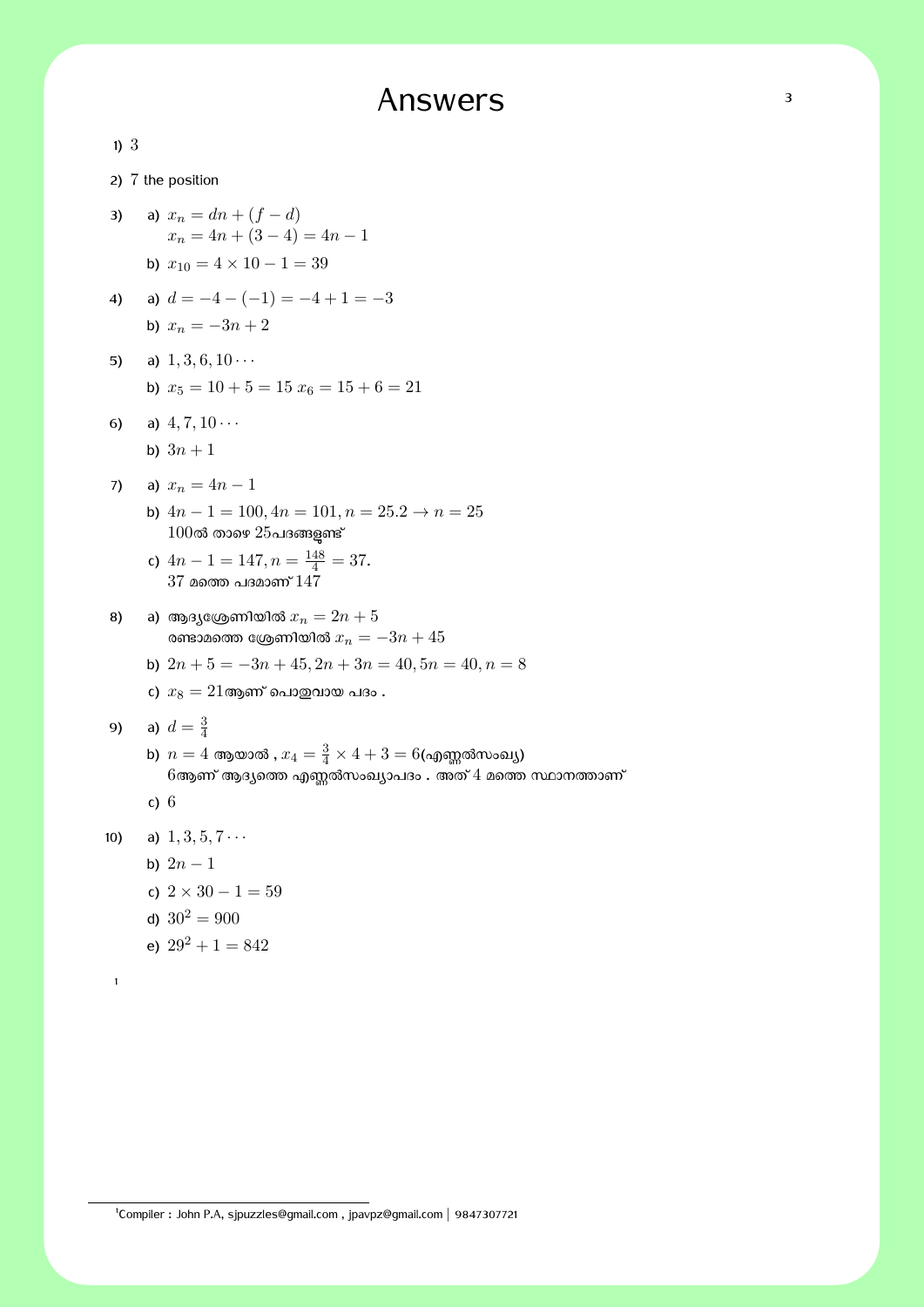# Answers 3

| 1)3 |        |                                                                                                                               |
|-----|--------|-------------------------------------------------------------------------------------------------------------------------------|
|     |        | 2) 7 the position                                                                                                             |
| 3)  |        | a) $x_n = dn + (f - d)$<br>$x_n = 4n + (3 - 4) = 4n - 1$                                                                      |
|     |        | b) $x_{10} = 4 \times 10 - 1 = 39$                                                                                            |
| 4)  |        | a) $d = -4 - (-1) = -4 + 1 = -3$<br>b) $x_n = -3n + 2$                                                                        |
| 5)  |        | a) $1, 3, 6, 10 \cdots$                                                                                                       |
|     |        | b) $x_5 = 10 + 5 = 15$ $x_6 = 15 + 6 = 21$                                                                                    |
| 6)  |        | a) $4, 7, 10 \cdots$                                                                                                          |
|     |        | b) $3n + 1$                                                                                                                   |
| 7)  |        | a) $x_n = 4n - 1$                                                                                                             |
|     |        | b) $4n - 1 = 100$ , $4n = 101$ , $n = 25.2 \rightarrow n = 25$<br>$100$ ൽ താഴെ $25$ പദങ്ങളുണ്ട്                               |
|     |        | c) $4n - 1 = 147, n = \frac{148}{4} = 37.$<br>$37$ മത്തെ പദമാണ് $147\,$                                                       |
| 8)  |        | a) ആദ്യശ്രേണിയിൽ $x_n = 2n + 5$<br>രണ്ടാമത്തെ ശ്രേണിയിൽ $x_n = -3n + 45$                                                      |
|     |        | b) $2n + 5 = -3n + 45$ , $2n + 3n = 40$ , $5n = 40$ , $n = 8$                                                                 |
|     |        | c) $x_8 = 21$ ആണ് പൊതുവായ പദം .                                                                                               |
| 9)  |        | a) $d = \frac{3}{4}$                                                                                                          |
|     |        | b) $n = 4$ ആയാൽ , $x_4 = \frac{3}{4} \times 4 + 3 = 6$ (എണ്ണൽസംഖ്യ)<br>6ആണ് ആദ്യത്തെ എണ്ണൽസംഖ്യാപദം . അത് 4 മത്തെ സ്ഥാനത്താണ് |
|     | c) $6$ |                                                                                                                               |
| 10) |        | a) $1, 3, 5, 7 \cdots$                                                                                                        |
|     |        | b) $2n - 1$                                                                                                                   |
|     |        | c) $2 \times 30 - 1 = 59$                                                                                                     |
|     |        | d) $30^2 = 900$                                                                                                               |
|     |        | e) $29^2 + 1 = 842$                                                                                                           |
| 1   |        |                                                                                                                               |
|     |        |                                                                                                                               |

1 Compiler : John P.A, sjpuzzles@gmail.com , jpavpz@gmail.com *|* 9847307721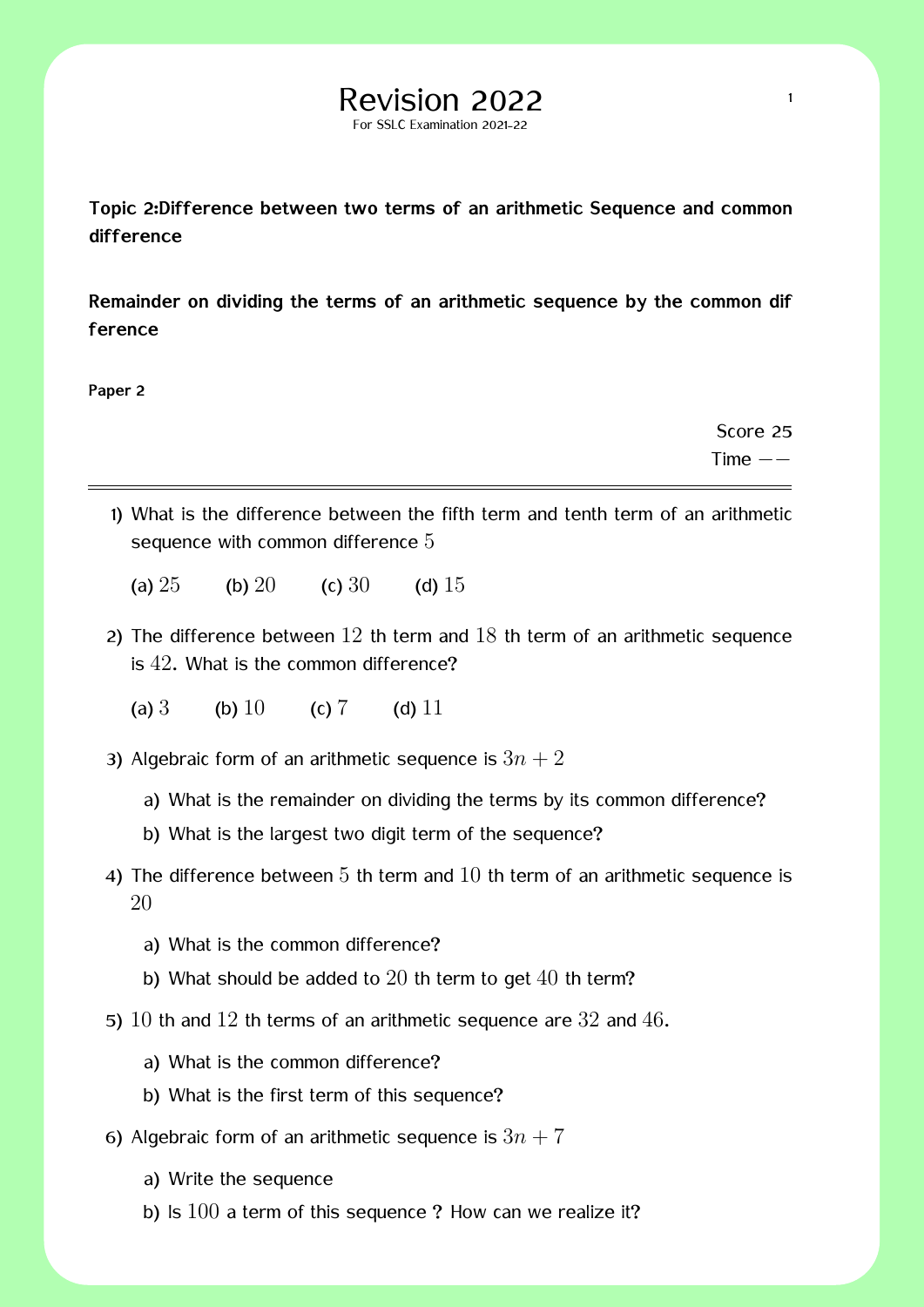#### **Topic 2:Difference between two terms of an arithmetic Sequence and common difference**

For SSLC Examination 2021-22

**Remainder on dividing the terms of an arithmetic sequence by the common dif ference**

**Paper 2**

Score 25 Time *−−*

- 1) What is the difference between the fifth term and tenth term of an arithmetic sequence with common difference 5
	- (a)  $25$  (b)  $20$  (c)  $30$  (d)  $15$
- 2) The difference between  $12$  th term and  $18$  th term of an arithmetic sequence is 42. What is the common difference?
	- (a)  $3$  (b)  $10$  (c)  $7$  (d)  $11$
- 3) Algebraic form of an arithmetic sequence is  $3n + 2$ 
	- a) What is the remainder on dividing the terms by its common difference?
	- b) What is the largest two digit term of the sequence?
- 4) The difference between  $5$  th term and  $10$  th term of an arithmetic sequence is 20
	- a) What is the common difference?
	- b) What should be added to  $20$  th term to get  $40$  th term?
- 5)  $10$  th and  $12$  th terms of an arithmetic sequence are  $32$  and  $46$ .
	- a) What is the common difference?
	- b) What is the first term of this sequence?
- 6) Algebraic form of an arithmetic sequence is  $3n + 7$ 
	- a) Write the sequence
	- b) Is  $100$  a term of this sequence ? How can we realize it?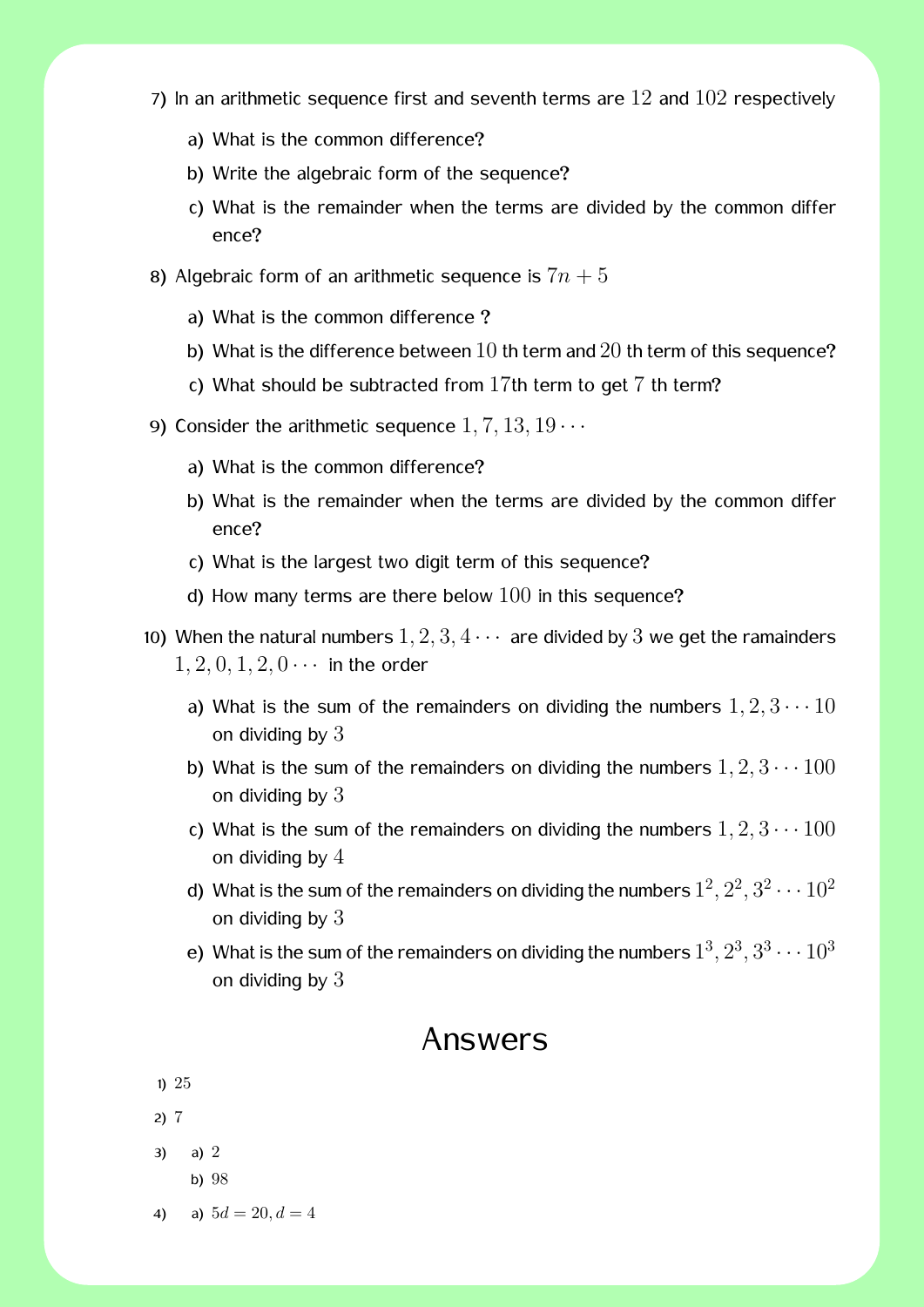- 7) In an arithmetic sequence first and seventh terms are  $12$  and  $102$  respectively
	- a) What is the common difference?
	- b) Write the algebraic form of the sequence?
	- c) What is the remainder when the terms are divided by the common differ ence?
- 8) Algebraic form of an arithmetic sequence is  $7n + 5$ 
	- a) What is the common difference ?
	- b) What is the difference between  $10$  th term and  $20$  th term of this sequence?
	- c) What should be subtracted from 17th term to get 7 th term?
- 9) Consider the arithmetic sequence  $1, 7, 13, 19 \cdots$ 
	- a) What is the common difference?
	- b) What is the remainder when the terms are divided by the common differ ence?
	- c) What is the largest two digit term of this sequence?
	- d) How many terms are there below  $100$  in this sequence?
- 10) When the natural numbers  $1, 2, 3, 4 \cdots$  are divided by 3 we get the ramainders  $1, 2, 0, 1, 2, 0 \cdots$  in the order
	- a) What is the sum of the remainders on dividing the numbers  $1, 2, 3 \cdots 10$ on dividing by  $3$
	- b) What is the sum of the remainders on dividing the numbers  $1, 2, 3 \cdots 100$ on dividing by 3
	- c) What is the sum of the remainders on dividing the numbers  $1, 2, 3 \cdots 100$ on dividing by 4
	- d) What is the sum of the remainders on dividing the numbers  $1^2, 2^2, 3^2 \cdots 10^2$ on dividing by  $3$
	- e) What is the sum of the remainders on dividing the numbers  $1^3, 2^3, 3^3 \cdots 10^3$ on dividing by  $3$

#### Answers

- 1) 25
- 2) 7
- 3) a) 2
	- b) 98
- 4) a)  $5d = 20, d = 4$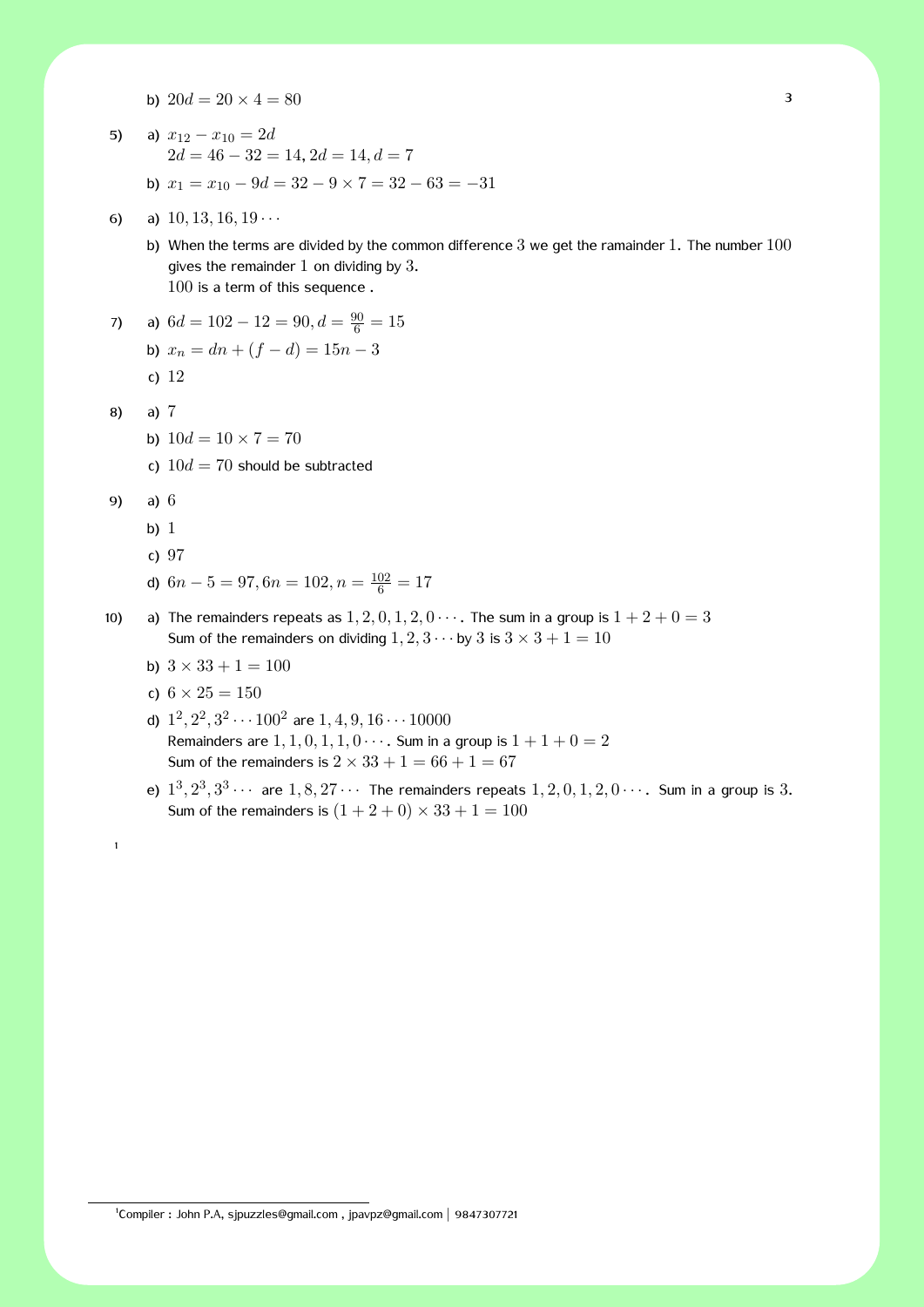- b)  $20d = 20 \times 4 = 80$
- 5) a)  $x_{12} x_{10} = 2d$ 2*d* = 46 *−* 32 = 14, 2*d* = 14*, d* = 7
	- b) *x*<sup>1</sup> = *x*<sup>10</sup> *−* 9*d* = 32 *−* 9 *×* 7 = 32 *−* 63 = *−*31
- 6) a) 10*,* 13*,* 16*,* 19 *· · ·*
	- b) When the terms are divided by the common difference  $3$  we get the ramainder  $1$ . The number  $100$ gives the remainder  $1$  on dividing by  $3$ . 100 is a term of this sequence .
- 7) a)  $6d = 102 12 = 90, d = \frac{90}{6} = 15$ b)  $x_n = dn + (f - d) = 15n - 3$ 
	- c) 12
- 8) a) 7
	- b)  $10d = 10 \times 7 = 70$
	- c)  $10d = 70$  should be subtracted
- 9) a) 6

1

- b) 1
- c) 97
- d)  $6n 5 = 97, 6n = 102, n = \frac{102}{6} = 17$
- 10) a) The remainders repeats as  $1, 2, 0, 1, 2, 0 \cdots$ . The sum in a group is  $1 + 2 + 0 = 3$ Sum of the remainders on dividing  $1, 2, 3 \cdots$  by 3 is  $3 \times 3 + 1 = 10$ 
	- b)  $3 \times 33 + 1 = 100$
	- c)  $6 \times 25 = 150$
	- d)  $1^2$ ,  $2^2$ ,  $3^2 \cdots 100^2$  are  $1, 4, 9, 16 \cdots 10000$ Remainders are  $1, 1, 0, 1, 1, 0 \cdots$ . Sum in a group is  $1 + 1 + 0 = 2$ Sum of the remainders is  $2 \times 33 + 1 = 66 + 1 = 67$
	- e)  $1^3, 2^3, 3^3 \cdots$  are  $1, 8, 27 \cdots$  The remainders repeats  $1, 2, 0, 1, 2, 0 \cdots$ . Sum in a group is 3. Sum of the remainders is  $(1 + 2 + 0) \times 33 + 1 = 100$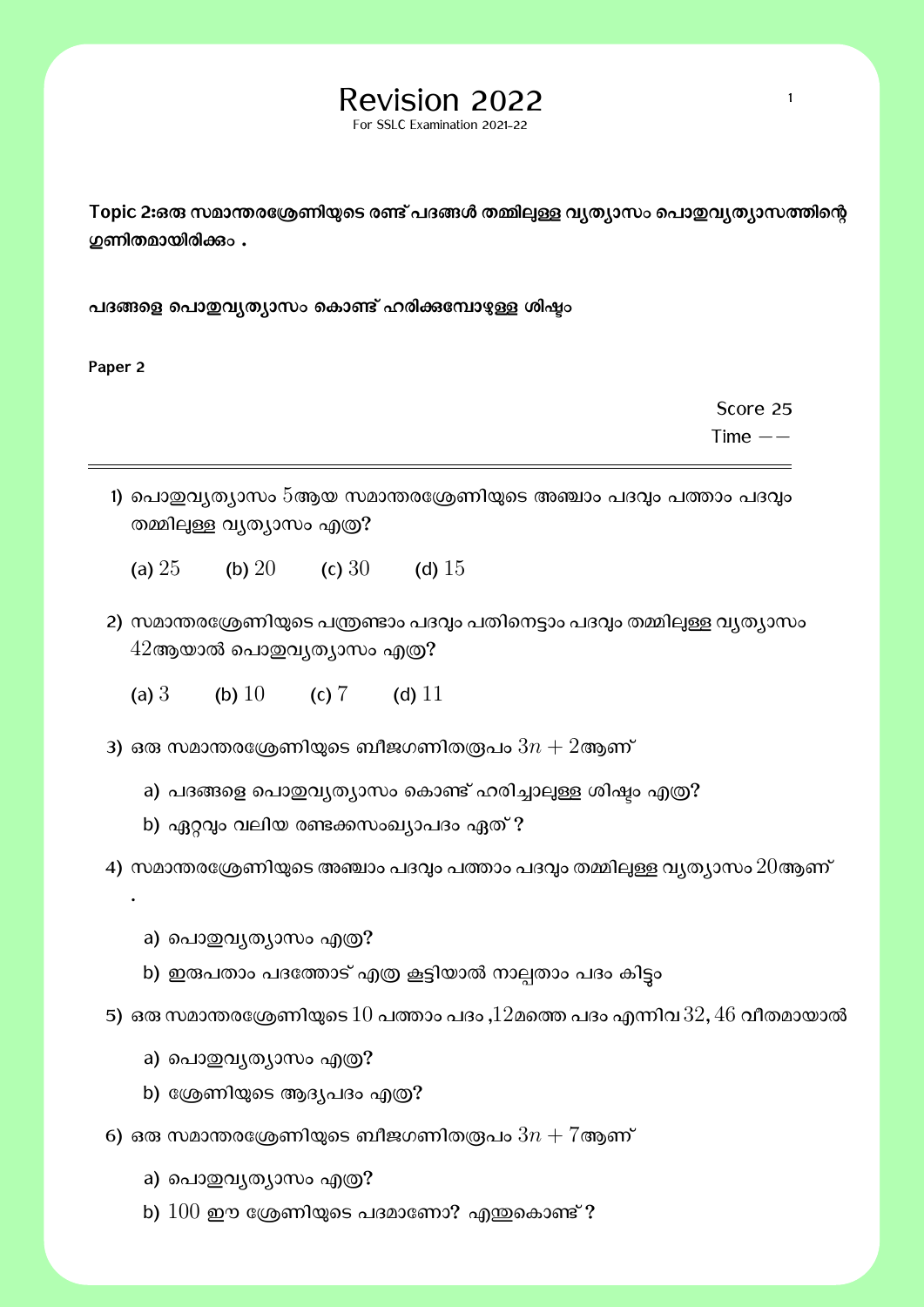# $\text{Revision } 2022$

For SSLC Examination 2021-22

Topic 2:ഒരു സമാന്തരശ്രേണിയുടെ രണ്ട് പദങ്ങൾ തമ്മിലുള്ള വൃത്യാസം പൊ**ഇവൃത്യാസത്തിന്റെ ഗ്രണിതമായിരിക്കും.** 

പദങ്ങളെ പൊ**ഇവ്യത്യാസം കൊണ്ട് ഹരിക്കമ്പോ**ഴുള്ള ശിഷ്ടം

**Paper 2**

.

Score 25

Time *−−*

- 1) പൊഇവ്യത്യാസം  $5$ ആയ സമാന്തരശ്രേണിയുടെ അഞ്ചാം പദവും പത്താം പദവും തമ്മിലുള്ള വ്യത്യാസം എത്ര?
	- (a)  $25$  (b)  $20$  (c)  $30$  (d)  $15$
- 2) സമാന്തരശ്രേണിയുടെ പന്ത്രണ്ടാം പദവ്വം പതിനെട്ടാം പദവ്വം തമ്മില്പള്ള വ്യത്യാസം  $42$ ആയാൽ പൊഇവൃത്യാസം എത്ര?
	- (a)  $3$  (b)  $10$  (c)  $7$  (d)  $11$
- 3) ഒരു സമാന്തരശ്രേണിയുടെ ബീജഗണിതര്രപം  $3n + 2$ ആണ്
	- a) പദങ്ങളെ പൊതുവൃത്യാസം കൊണ്ട് ഹരിച്ചാലുള്ള ശിഷ്ടം എത്ര?
	- b) ഏറ്റവും വലിയ രണ്ടക്കസംഖ്യാപദം ഏത് ?
- 4) സമാന്തരശ്രേണിയുടെ അഞ്ചാം പദവും പത്താം പദവും തമ്മിലുള്ള വൃത്യാസം  $20$ ആണ്
	- a) പൊതുവ്യത്യാസം എത്ര?
	- b) ഇരുപതാം പദത്തോട് എത്ര കൂട്ടിയാൽ നാല്പതാം പദം കിട്ടം
- 5) ഒരു സമാന്തരശ്രേണിയുടെ  $10$  പത്താം പദം , $12$ മത്തെ പദം എന്നിവ  $32, 46$  വീതമായാൽ
	- a) പൊഇവൃത്യാസം എത്ര?
	- b) ശ്രേണിയുടെ ആദ്യപദം എത്ര?
- $\epsilon$ 6) ഒരു സമാന്തരശ്രേണിയുടെ ബീജഗണിതര്രപം  $3n + 7$ ആണ്
	- a) പൊതുവൃത്യാസം എത്ര?
	- b)  $100$  ഈ ശ്രേണിയുടെ പദമാണോ? എന്തുകൊണ്ട് ?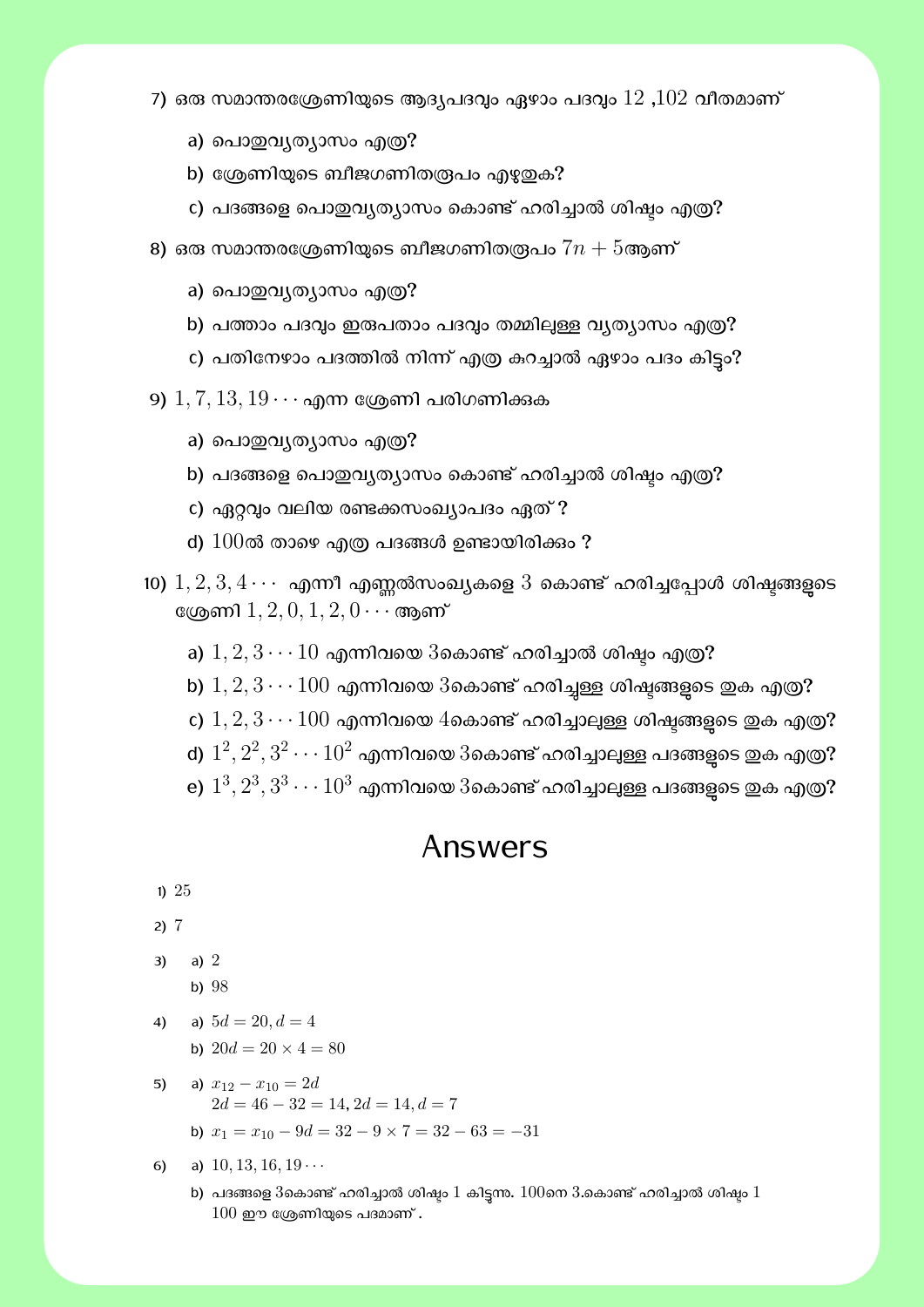- 7) ഒരു സമാന്തരശ്രേണിയുടെ ആദ്യപദവ്വം ഏഴാം പദവ്വം  $12$  , $102$  വീതമാണ്  $^\circ$ 
	- a) പൊതുവൃത്യാസം എത്ര?
	- b) ശ്രേണിയുടെ ബീജഗണിതരൂപം എഴുതുക?
	- c) പദങ്ങളെ പൊഇവ്യത്യാസം കൊണ്ട് ഹരിച്ചാൽ ശിഷ്ടം എത്ര?
- 8) ഒരു സമാന്തരശ്രേണിയുടെ ബീജഗണിതര്രപം  $7n + 5$ ആണ്
	- a) പൊതുവൃത്യാസം എത്ര?
	- b) പത്താം പദവും ഇരുപതാം പദവും തമ്മിലുള്ള വ്യത്യാസം എത്ര?
	- c) പതിനേഴാം പദത്തിൽ നിന്ന് എത്ര കറച്ചാൽ ഏഴാം പദം കിട്ടം?

 $(9)$   $1, 7, 13, 19 \cdots$  എന്ന ശ്രേണി പരിഗണിക്കുക

- a) പൊതുവൃത്യാസം എത്ര?
- b) പദങ്ങളെ പൊഇവ്യത്യാസം കൊണ്ട് ഹരിച്ചാൽ ശിഷ്ടം എത്ര?
- c) ഏറ്റവും വലിയ രണ്ടക്കസംഖ്യാപദം ഏത് ?
- d)  $100$ ൽ താഴെ എത്ര പദങ്ങൾ ഉണ്ടായിരിക്കം ?
- 10)  $1, 2, 3, 4 \cdots$  എന്നീ എണ്ണൽസംഖ്യകളെ  $3$  കൊണ്ട് ഹരിച്ചപ്പോൾ ശിഷ്ടങ്ങളുടെ േδണി 1*,* 2*,* 0*,* 1*,* 2*,* 0 *· · ·*ആണ്
	- a)  $1, 2, 3 \cdots 10$  എന്നിവയെ  $3$ കൊണ്ട് ഹരിച്ചാൽ ശിഷ്യം എത്ര?
	- b)  $1, 2, 3 \cdots 100$  എന്നിവയെ  $3$ കൊണ്ട് ഹരിച്ചള്ള ശിഷ്ടങ്ങളുടെ ഇക എത്ര?
	- c)  $1, 2, 3 \cdots 100$  എന്നിവയെ 4കൊണ്ട് ഹരിച്ചാലുള്ള ശിഷ്ടങ്ങളുടെ ഇക എത്ര?
	- d)  $1^2, 2^2, 3^2 \cdots 10^2$  എന്നിവയെ  $3$ കൊണ്ട് ഹരിച്ചാലുള്ള പദങ്ങളുടെ ഇക എത്ര?
	- e)  $1^3, 2^3, 3^3 \cdots 10^3$  എന്നിവയെ  $3$ കൊണ്ട് ഹരിച്ചാലുള്ള പദങ്ങളുടെ ഇക എത്ര?

#### Answers

1) 25

2) 7

- 3) a) 2
	- b) 98
- 4) a)  $5d = 20, d = 4$ b)  $20d = 20 \times 4 = 80$
- 5) a)  $x_{12} x_{10} = 2d$  $2d = 46 - 32 = 14, 2d = 14, d = 7$ 
	- b) *x*<sup>1</sup> = *x*<sup>10</sup> *−* 9*d* = 32 *−* 9 *×* 7 = 32 *−* 63 = *−*31
- 6) a) 10*,* 13*,* 16*,* 19 *· · ·*
	- b) പദങ്ങളെ 3കൊണ്ട് ഹരിച്ചാൽ ശിഷ്ടം  $1$  കിട്ടന്ന.  $100$ നെ  $3.$ കൊണ്ട് ഹരിച്ചാൽ ശിഷ്ടം  $1$  $100$  ഈ ശ്രേണിയുടെ പദമാണ് .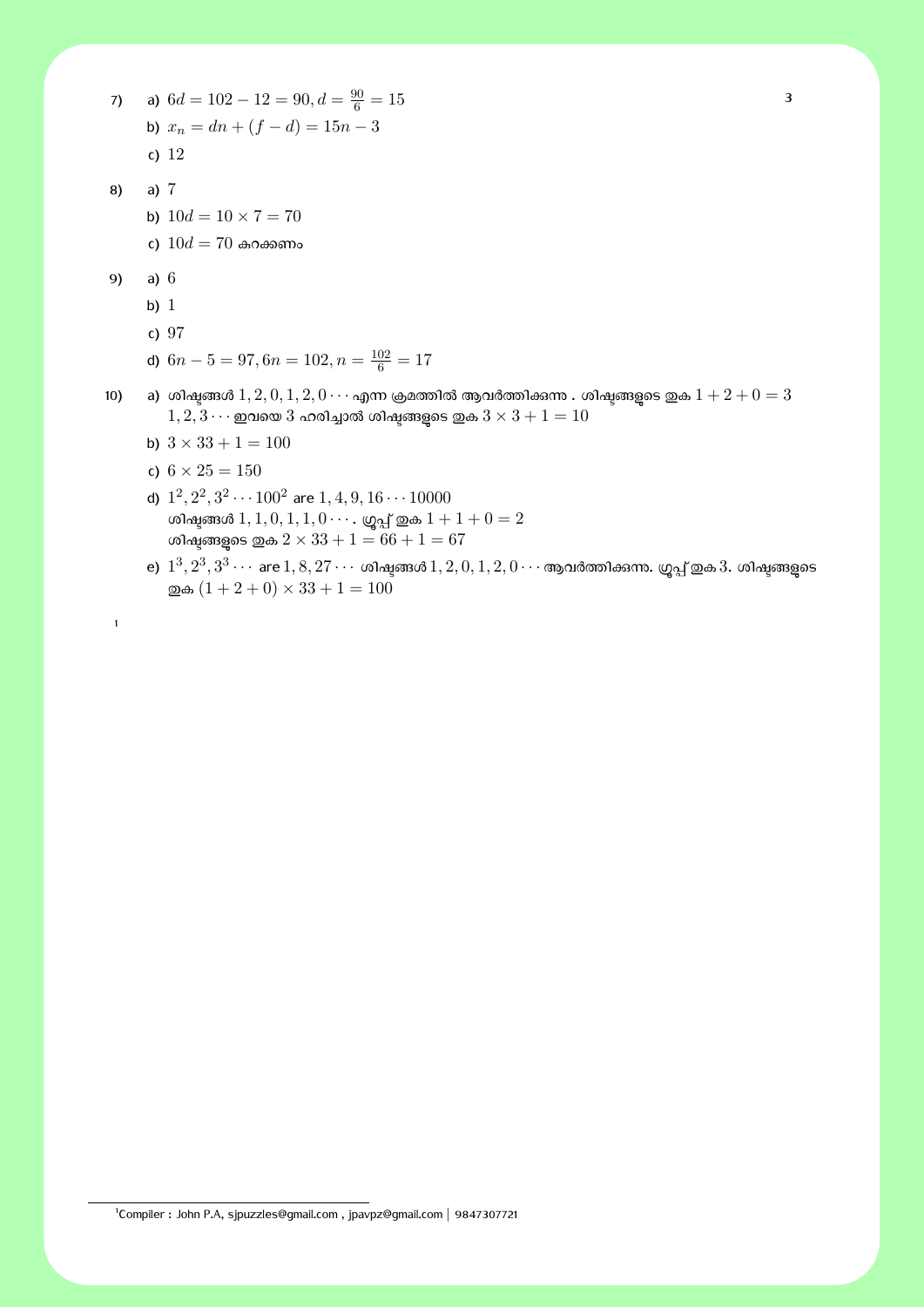7) a)  $6d = 102 - 12 = 90, d = \frac{90}{6} = 15$ b)  $x_n = dn + (f - d) = 15n - 3$ c) 12

- 8) a) 7
	- b)  $10d = 10 \times 7 = 70$
	- c)  $10d = 70$  കറക്കണം
- 9) a) 6

1

- b) 1
- c) 97
- d)  $6n 5 = 97, 6n = 102, n = \frac{102}{6} = 17$
- 10) a) ശിഷ്ടങ്ങൾ  $1, 2, 0, 1, 2, 0 \cdots$  എന്ന ക്രമത്തിൽ ആവർത്തിക്കന്നു . ശിഷ്ടങ്ങളുടെ ഇക  $1 + 2 + 0 = 3$  $1, 2, 3 \cdots$  ഇവയെ  $3$  ഹരിച്ചാൽ ശിഷ്ടങ്ങളുടെ ഇക $3 \times 3 + 1 = 10$ 
	- b)  $3 \times 33 + 1 = 100$
	- c)  $6 \times 25 = 150$
	- d)  $1^2, 2^2, 3^2 \cdots 100^2$  are  $1, 4, 9, 16 \cdots 10000$ ശിഷ്യങ്ങൾ  $1, 1, 0, 1, 1, 0 \cdots$ . ഗ്രപ്പ് ഇക  $1 + 1 + 0 = 2$ ശിഷ്ടങ്ങളുടെ ഇക  $2 \times 33 + 1 = 66 + 1 = 67$
	- $e)$   $1^3, 2^3, 3^3 \cdots$  are  $1, 8, 27 \cdots$  ശിഷ്ടങ്ങൾ  $1, 2, 0, 1, 2, 0 \cdots$  ആവർത്തിക്കന്ന. ഗ്രൂപ്പ് ഇക  $3$ . ശിഷ്ടങ്ങളുടെ  $\text{Q}$ ക  $(1 + 2 + 0) \times 33 + 1 = 100$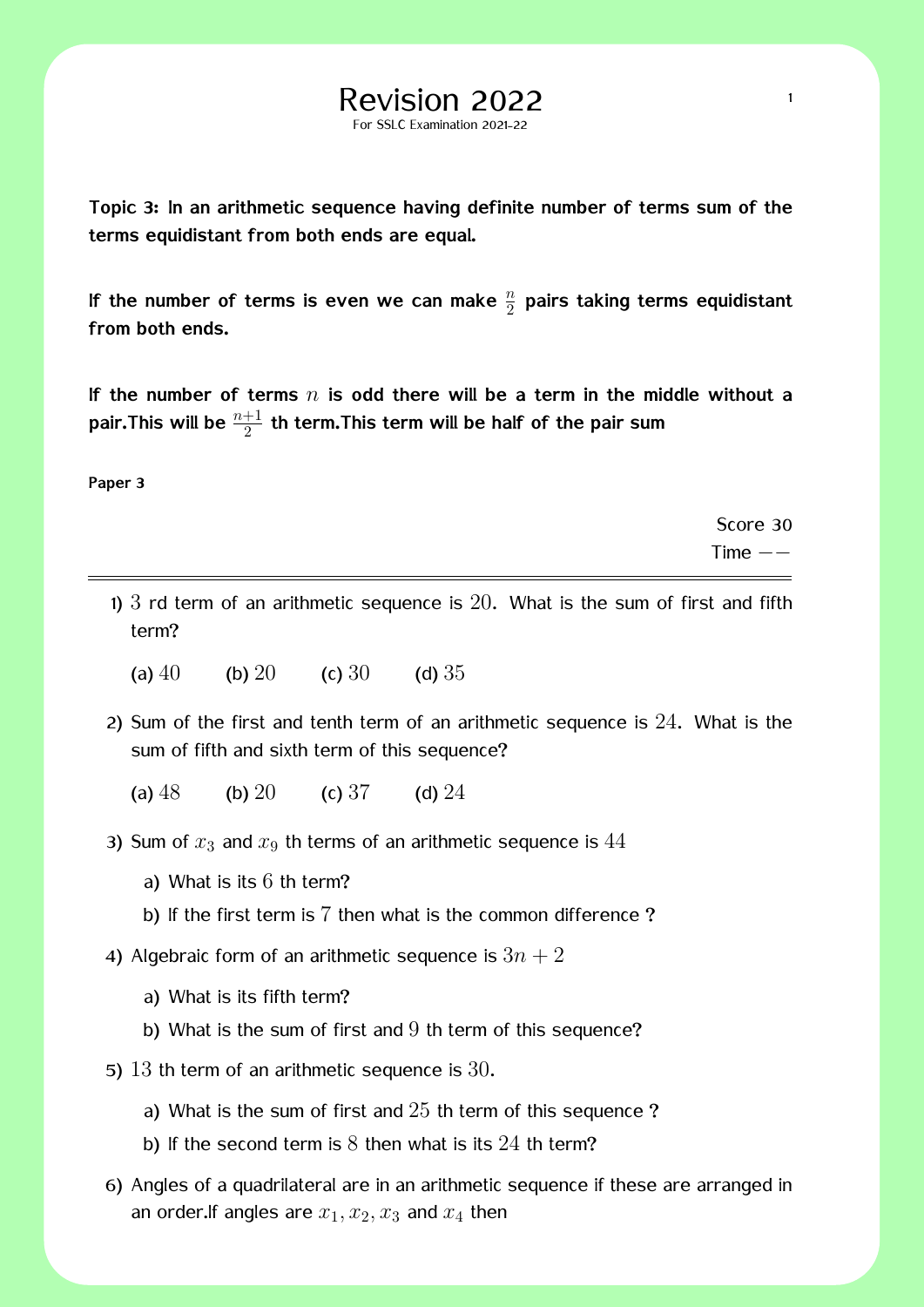**Topic 3: In an arithmetic sequence having definite number of terms sum of the terms equidistant from both ends are equal.**

For SSLC Examination 2021-22

If the number of terms is even we can make  $\frac{n}{2}$  pairs taking terms equidistant **from both ends.**

**If the number of terms** *n* **is odd there will be a term in the middle without a** pair.This will be  $\frac{n+1}{2}$  th term.This term will be half of the pair sum

**Paper 3**

Score 30 Time *−−*

- 1)  $3$  rd term of an arithmetic sequence is  $20$ . What is the sum of first and fifth term?
	- (a)  $40$  (b)  $20$  (c)  $30$  (d)  $35$
- 2) Sum of the first and tenth term of an arithmetic sequence is 24. What is the sum of fifth and sixth term of this sequence?
	- (a)  $48$  (b)  $20$  (c)  $37$  (d)  $24$
- 3) Sum of  $x_3$  and  $x_9$  th terms of an arithmetic sequence is  $44$ 
	- a) What is its 6 th term?
	- b) If the first term is 7 then what is the common difference?
- 4) Algebraic form of an arithmetic sequence is  $3n + 2$ 
	- a) What is its fifth term?
	- b) What is the sum of first and  $9$  th term of this sequence?
- 5)  $13$  th term of an arithmetic sequence is  $30$ .
	- a) What is the sum of first and  $25$  th term of this sequence?
	- b) If the second term is  $8$  then what is its  $24$  th term?
- 6) Angles of a quadrilateral are in an arithmetic sequence if these are arranged in an order. If angles are  $x_1, x_2, x_3$  and  $x_4$  then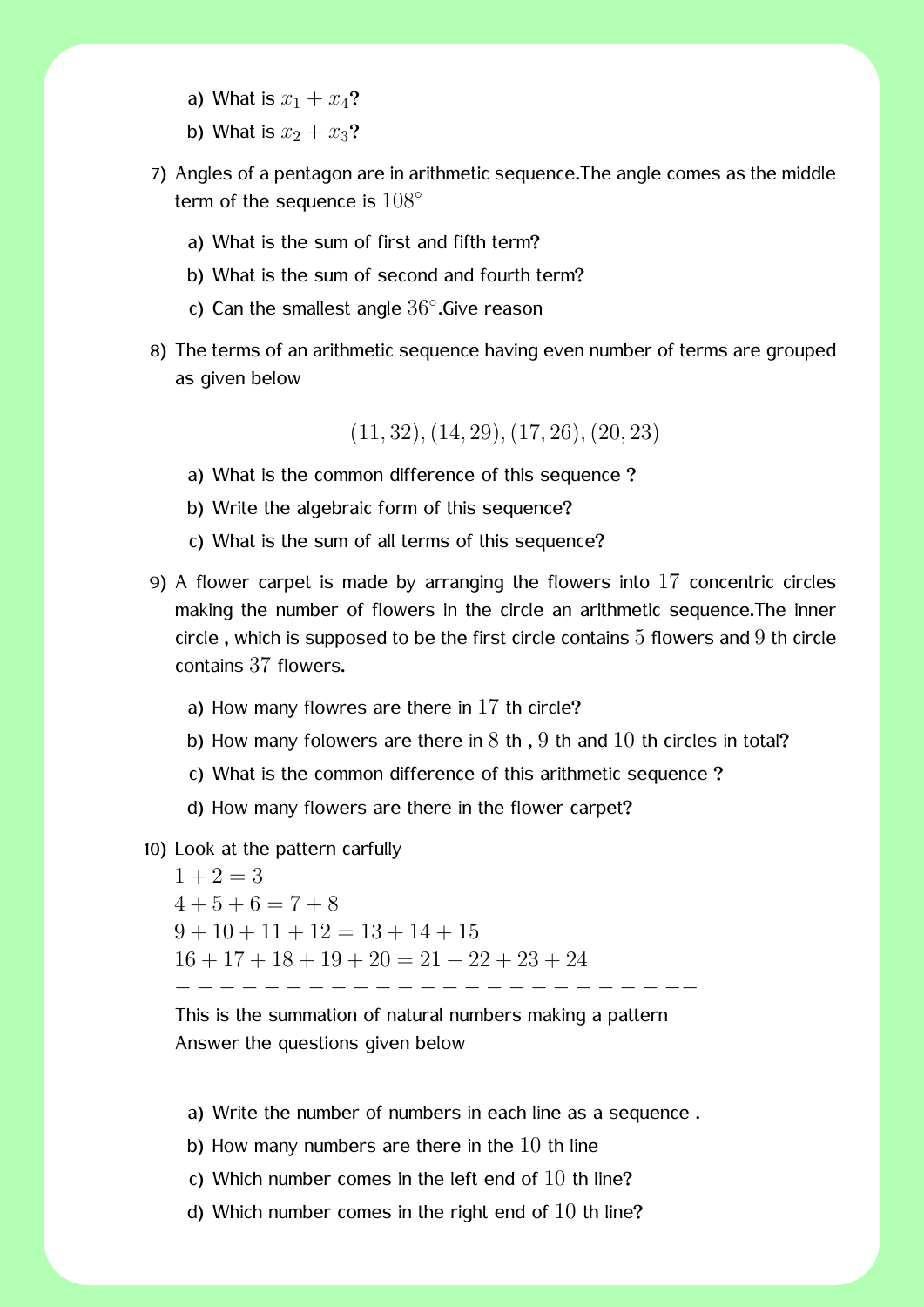- a) What is  $x_1 + x_4$ ?
- b) What is  $x_2 + x_3$ ?
- 7) Angles of a pentagon are in arithmetic sequence.The angle comes as the middle term of the sequence is 108*◦*
	- a) What is the sum of first and fifth term?
	- b) What is the sum of second and fourth term?
	- c) Can the smallest angle 36*◦* .Give reason
- 8) The terms of an arithmetic sequence having even number of terms are grouped as given below

(11*,* 32)*,*(14*,* 29)*,*(17*,* 26)*,*(20*,* 23)

- a) What is the common difference of this sequence ?
- b) Write the algebraic form of this sequence?
- c) What is the sum of all terms of this sequence?
- 9) A flower carpet is made by arranging the flowers into 17 concentric circles making the number of flowers in the circle an arithmetic sequence.The inner circle, which is supposed to be the first circle contains  $5$  flowers and  $9$  th circle contains 37 flowers.
	- a) How many flowres are there in 17 th circle?
	- b) How many folowers are there in  $8$  th,  $9$  th and  $10$  th circles in total?
	- c) What is the common difference of this arithmetic sequence ?
	- d) How many flowers are there in the flower carpet?
- 10) Look at the pattern carfully

 $1 + 2 = 3$  $4+5+6=7+8$  $9 + 10 + 11 + 12 = 13 + 14 + 15$  $16 + 17 + 18 + 19 + 20 = 21 + 22 + 23 + 24$ *− − − − − − − − − − − − − − − − − −* 

This is the summation of natural numbers making a pattern Answer the questions given below

a) Write the number of numbers in each line as a sequence .

- b) How many numbers are there in the  $10$  th line
- c) Which number comes in the left end of  $10$  th line?
- d) Which number comes in the right end of  $10$  th line?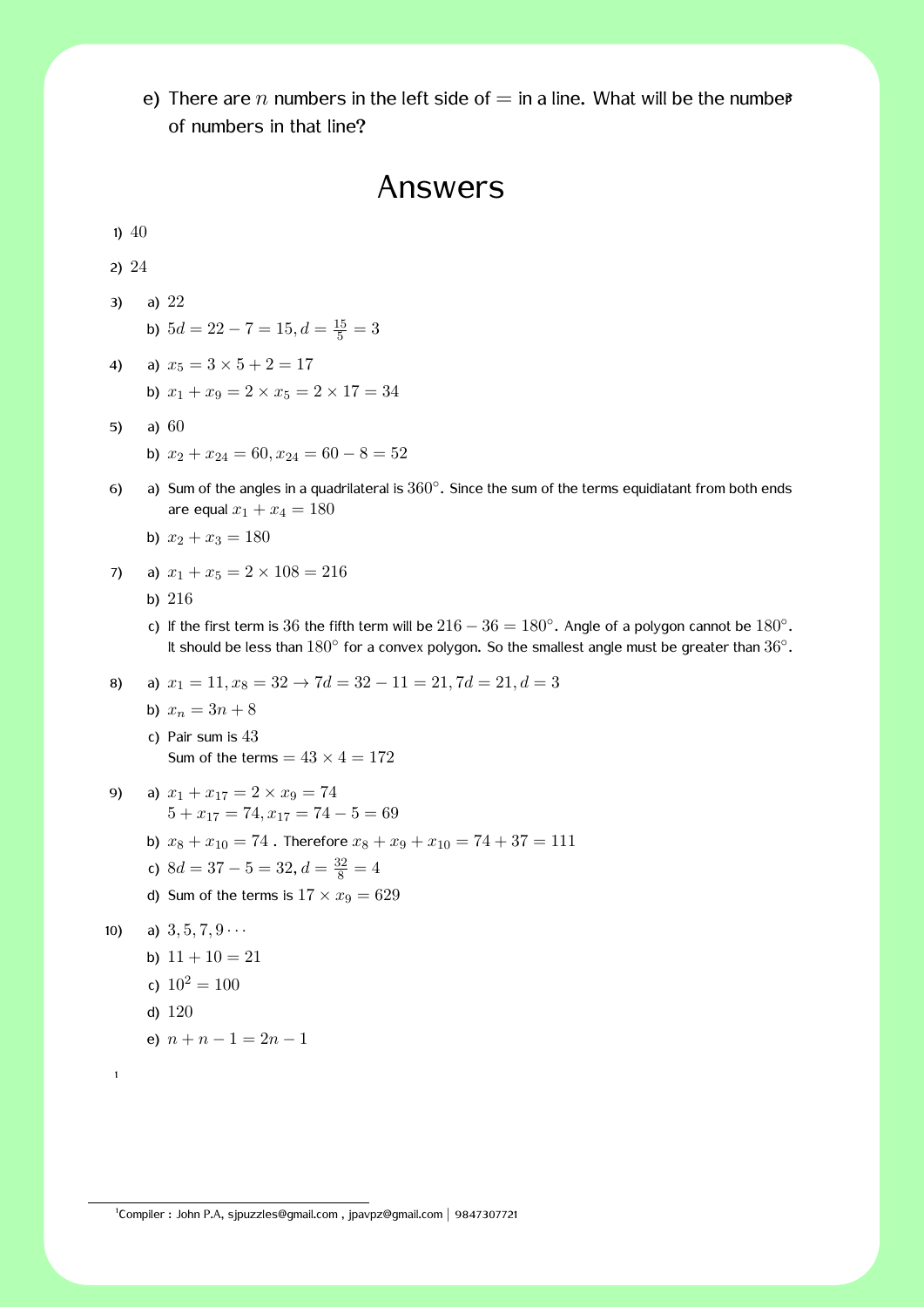e) There are *n* numbers in the left side of  $=$  in a line. What will be the number of numbers in that line?

### Answers

1)  $40$ 2) 24 3) a) 22 b)  $5d = 22 - 7 = 15, d = \frac{15}{5} = 3$ 4) a)  $x_5 = 3 \times 5 + 2 = 17$ b)  $x_1 + x_9 = 2 \times x_5 = 2 \times 17 = 34$ 5) a) 60 b)  $x_2 + x_{24} = 60, x_{24} = 60 - 8 = 52$ 6) a) Sum of the angles in a quadrilateral is 360*◦* . Since the sum of the terms equidiatant from both ends are equal  $x_1 + x_4 = 180$ b)  $x_2 + x_3 = 180$ 7) a)  $x_1 + x_5 = 2 \times 108 = 216$ b) 216 c) If the first term is 36 the fifth term will be  $216 - 36 = 180°$ . Angle of a polygon cannot be  $180°$ . It should be less than 180*◦* for a convex polygon. So the smallest angle must be greater than 36*◦* . 8) a)  $x_1 = 11, x_8 = 32 \rightarrow 7d = 32 - 11 = 21, 7d = 21, d = 3$ b)  $x_n = 3n + 8$ c) Pair sum is 43 Sum of the terms  $= 43 \times 4 = 172$ 9) a)  $x_1 + x_{17} = 2 \times x_9 = 74$  $5 + x_{17} = 74, x_{17} = 74 - 5 = 69$ b)  $x_8 + x_{10} = 74$ . Therefore  $x_8 + x_9 + x_{10} = 74 + 37 = 111$ c)  $8d = 37 - 5 = 32, d = \frac{32}{8} = 4$ d) Sum of the terms is  $17 \times x_9 = 629$ 10) a)  $3, 5, 7, 9 \cdots$ b)  $11 + 10 = 21$ c)  $10^2 = 100$ d) 120 e)  $n + n - 1 = 2n - 1$ 1

1 Compiler : John P.A, sjpuzzles@gmail.com , jpavpz@gmail.com *|* 9847307721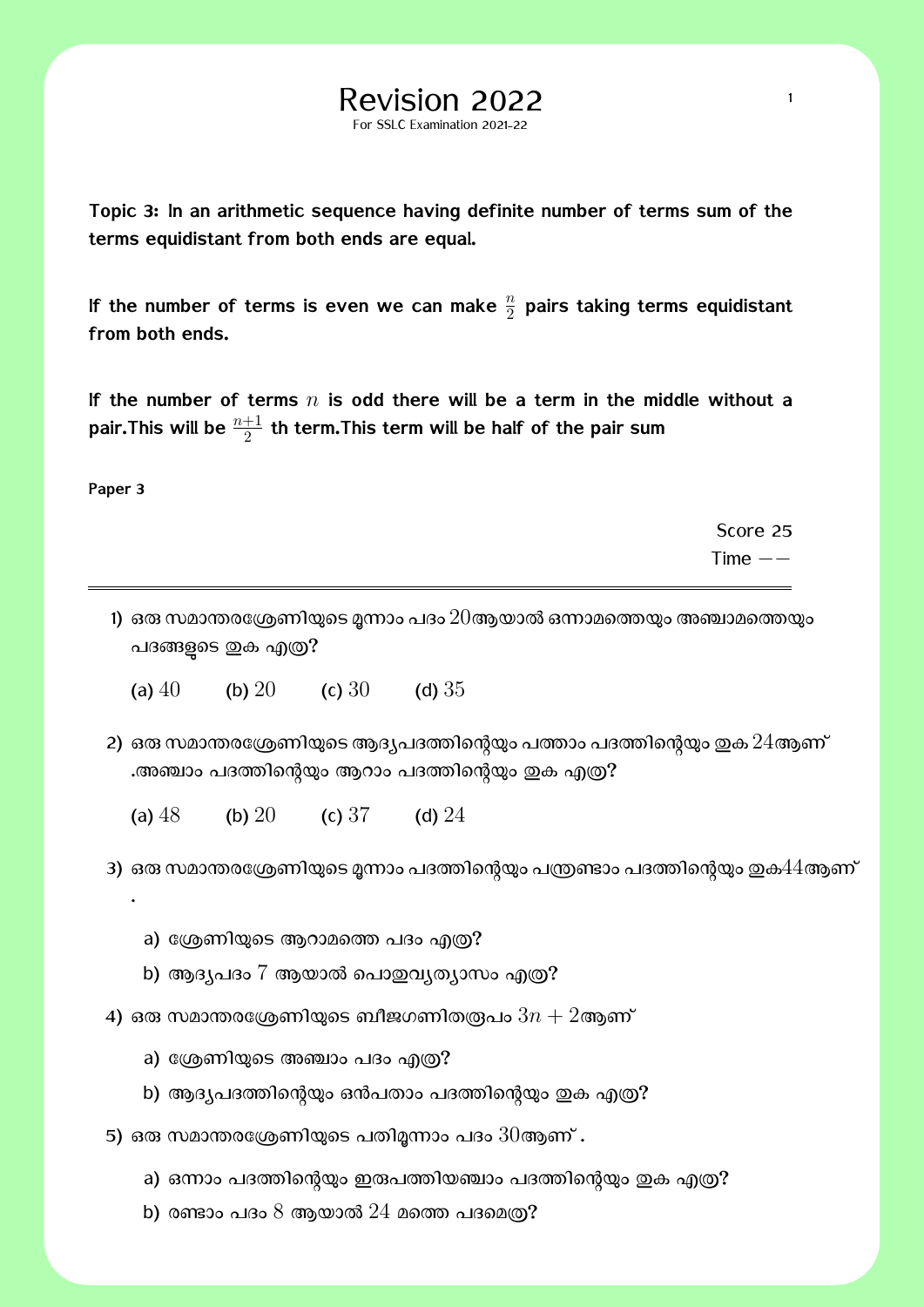**Topic 3: In an arithmetic sequence having definite number of terms sum of the terms equidistant from both ends are equal.**

For SSLC Examination 2021-22

If the number of terms is even we can make  $\frac{n}{2}$  pairs taking terms equidistant **from both ends.**

**If the number of terms** *n* **is odd there will be a term in the middle without a** pair.This will be  $\frac{n+1}{2}$  th term.This term will be half of the pair sum

**Paper 3**

.

Score 25 Time *−−*

1) ഒരു സമാന്തരശ്രേണിയുടെ മൂന്നാം പദം  $20$ ആയാൽ ഒന്നാമത്തെയും അഞ്ചാമത്തെയും പദങ്ങളുടെ ഇക എത്ര?

(a)  $40$  (b)  $20$  (c)  $30$  (d)  $35$ 

2) ഒരു സമാന്തരശ്രേണിയുടെ ആദ്യപദത്തിന്റെയും പത്താം പദത്തിന്റെയും ഇക  $24$ ആണ് .അഞ്ചാം പദത്തിന്റെയും ആറാം പദത്തിന്റെയും ഇക എത്ര?

(a)  $48$  (b)  $20$  (c)  $37$  (d)  $24$ 

3) ഒരു സമാന്തരശ്രേണിയുടെ മൂന്നാം പദത്തിന്റെയും പന്ത്രണ്ടാം പദത്തിന്റെയും ഇക $44$ ആണ്

- a) ശ്രേണിയുടെ ആറാമത്തെ പദം എത്ര?
- b) ആദ്യപദം 7 ആയാൽ പൊഇവ്യത്യാസം എത്ര?
- 4) ഒരു സമാന്തരശ്രേണിയുടെ ബീജഗണിതരൂപം  $3n + 2$ ആണ്
	- a) ശ്രേണിയുടെ അഞ്ചാം പദം എത്ര?
	- b) ആദ്യപദത്തിന്റെയും ഒൻപതാം പദത്തിന്റെയും ഇക എത്ര?
- 5) ഒരു സമാന്തരശ്രേണിയുടെ പതിമൂന്നാം പദം  $30$ ആണ് .
	- a) ഒന്നാം പദത്തിന്റെയും ഇരുപത്തിയഞ്ചാം പദത്തിന്റെയും ഇക എത്ര?
	- b) രണ്ടാം പദം  $8$  ആയാൽ  $24$  മത്തെ പദമെത്ര?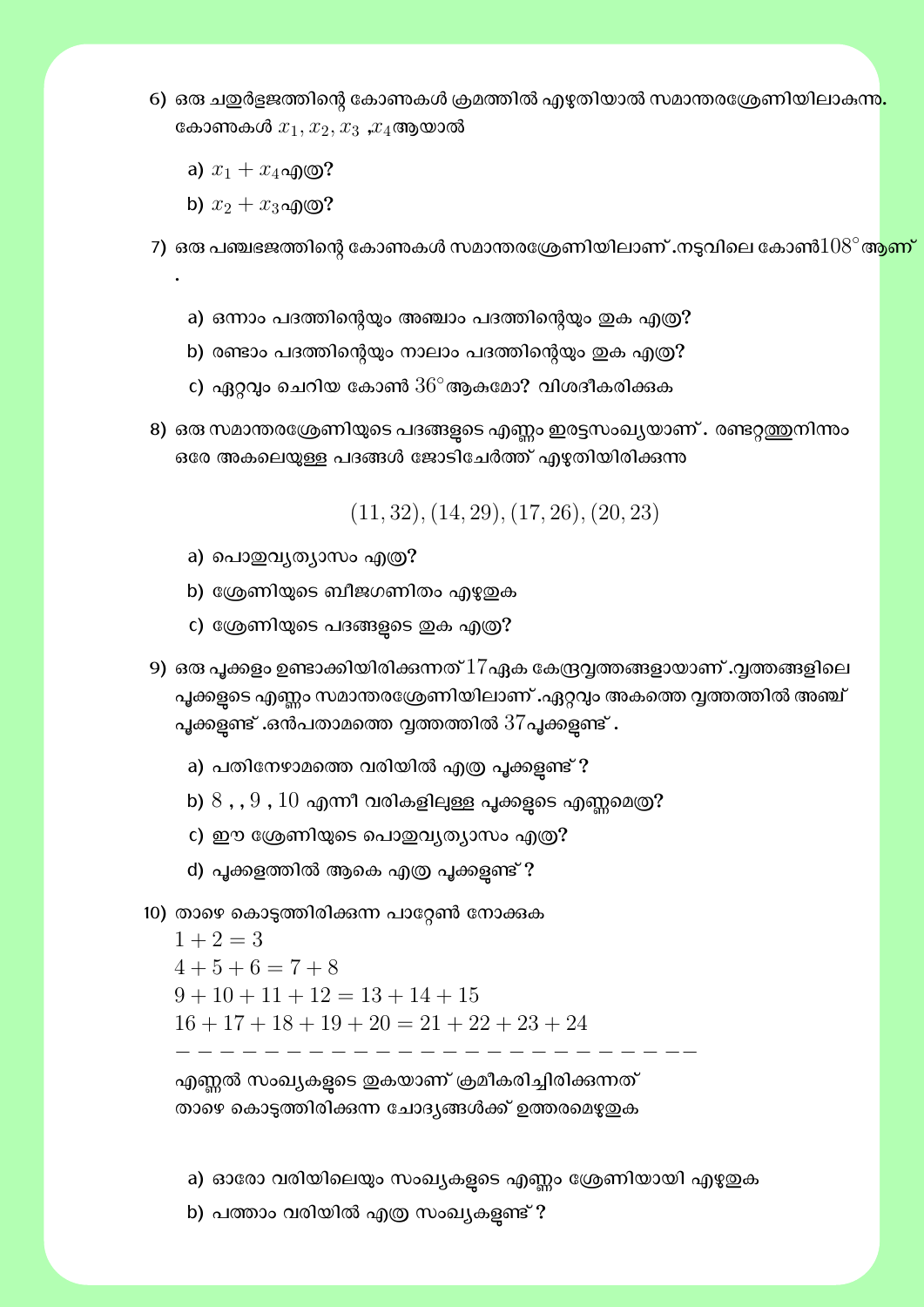- 6) ഒരു ചഇർളജത്തിന്റെ കോണകൾ ക്രമത്തിൽ എഴുതിയാൽ സമാന്തരശ്രേണിയിലാകന്<mark>ന.</mark> കോണകൾ  $x_1, x_2, x_3$  , $x_4$ ആയാൽ
	- a)  $x_1 + x_4$ എ©?
	- b)  $x_2 + x_3$ എ@?

.

7) ഒരു പഞ്ചഭജത്തിന്റെ കോണകൾ സമാന്തരശ്രേണിയിലാണ് **.**നടുവിലെ കോൺ $108^{\circ}$ ആ<mark>ണ്</mark>

- a) ഒന്നാം പദത്തിന്റെയും അഞ്ചാം പദത്തിന്റെയും ഇക എത്ര?
- b) രണ്ടാം പദത്തിന്റെയും നാലാം പദത്തിന്റെയും ഇക എത്ര?
- c) ഏറ്റവും ചെറിയ കോൺ  $36^\circ$ ആകമോ? വിശദീകരിക്കുക
- 8) ഒരു സമാന്തരശ്രേണിയുടെ പദങ്ങളുടെ എണ്ണം ഇരട്ടസംഖ്യയാണ് . രണ്ടറ്റത്തുനിന്നം ഒരേ അകലെയുള്ള പദങ്ങൾ ജോടിചേർത്ത് എഴുതിയിരിക്കുന്ന

(11*,* 32)*,*(14*,* 29)*,*(17*,* 26)*,*(20*,* 23)

- a) പൊതുവൃത്യാസം എത്ര?
- b) ശ്രേണിയുടെ ബീജഗണിതം എഴുതുക
- c) ശ്രേണിയുടെ പദങ്ങളുടെ ഇക എത്ര?
- 9) ഒരു പൂക്കളം ഉണ്ടാക്കിയിരിക്കുന്നത്  $17$ ഏക കേന്ദ്രവ്വത്തങ്ങളായാണ് .വൃത്തങ്ങളിലെ പൂക്കളടെ എണ്ണം സമാന്തരശ്രേണിയിലാണ് .ഏറ്റവും അകത്തെ വ്വത്തത്തിൽ അഞ്ച് പൂക്കളുണ്ട് .ഒൻപതാമത്തെ വൃത്തത്തിൽ  $37$ പൂക്കളുണ്ട് .
	- a) പതിനേഴാമത്തെ വരിയിൽ എത്ര പൂക്കളണ്ട് ?
	- b)  $8$  , ,  $9$  ,  $10$  എന്നീ വരികളിലുള്ള പൂക്കളുടെ എണ്ണമെത്ര?
	- c) ഈ ശ്രേണിയുടെ പൊഇവ്യത്യാസം എത്ര?
	- d) പൂക്കളത്തിൽ ആകെ എത്ര പൂക്കളുണ്ട് ?
- 10) താഴെ കൊടുത്തിരിക്കന്ന പാറ്റേൺ നോക്കുക

 $1 + 2 = 3$  $4+5+6=7+8$  $9 + 10 + 11 + 12 = 13 + 14 + 15$  $16 + 17 + 18 + 19 + 20 = 21 + 22 + 23 + 24$ *− − − − − − − − − − − − − − − − − − − − − − −−*

എണ്ണൽ സംഖ്യകളടെ ഇകയാണ് ക്രമീകരിച്ചിരിക്കുന്നത് താഴെ കൊടുത്തിരിക്കന്ന ചോദ്യങ്ങൾക്ക് ഉത്തരമെഴുതുക

a) ഓരോ വരിയിലെയും സംഖ്യകളുടെ എണ്ണം ശ്രേണിയായി എഴുഇക

b) പത്താം വരിയിൽ എത്ര സംഖ്യകളണ്ട് ?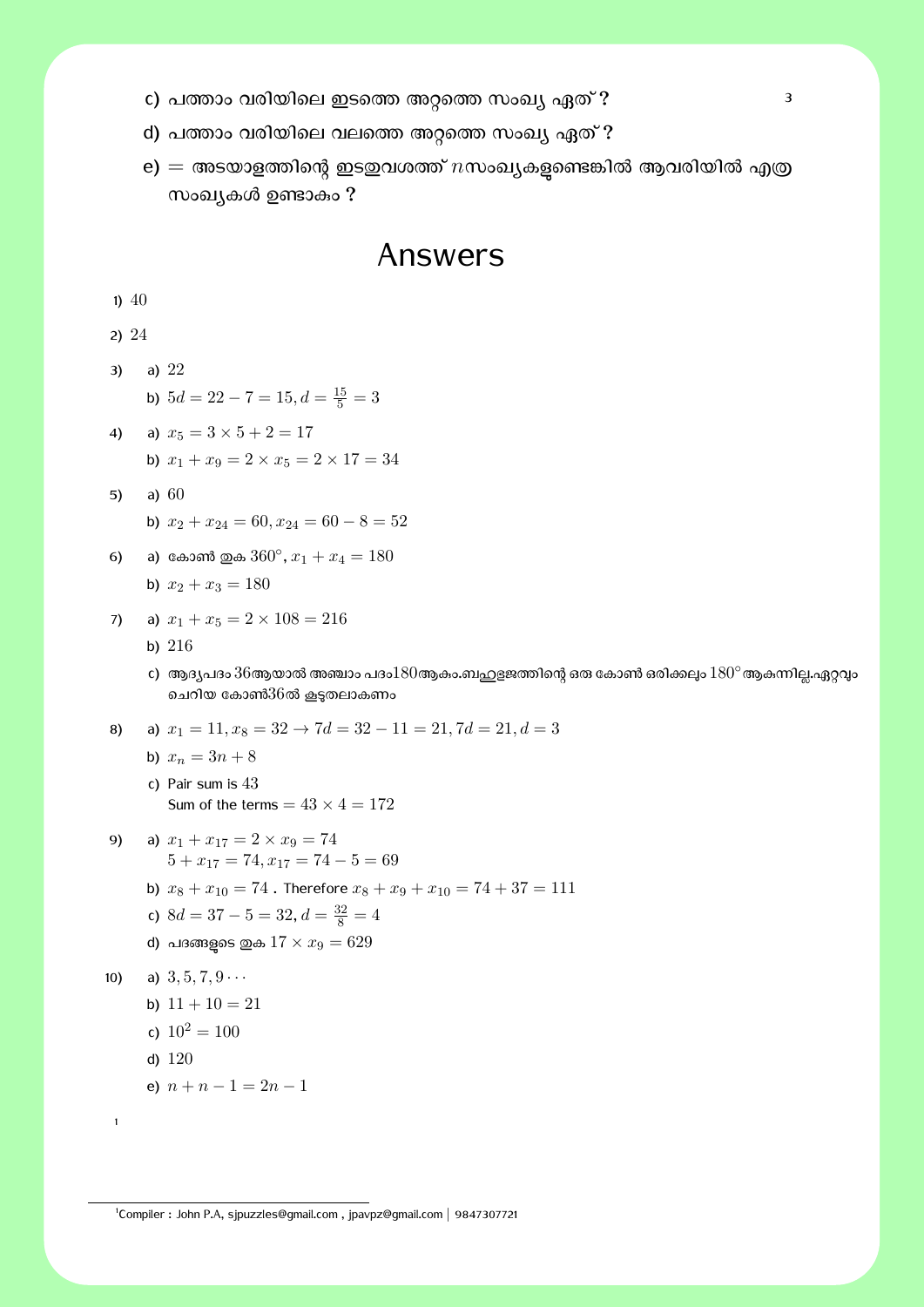- c) പȮാം വരിയിെല ഇടെȮ അѯെȮ സംഖĿ ഏത് ? 3
- d) പത്താം വരിയിലെ വലത്തെ അറ്റത്തെ സംഖ്യ ഏത് ?

1

 $\mathbf{e}) = \mathbf{e}$ അടയാളത്തിന്റെ ഇടഇവശത്ത്  $n$ സംഖ്യകളുണ്ടെങ്കിൽ ആവരിയിൽ എത്ര സംഖ്യകൾ ഉണ്ടാകം ?

## Answers

|     | $1)$ 40 |                                                                                             |
|-----|---------|---------------------------------------------------------------------------------------------|
|     | 2) 24   |                                                                                             |
| 3)  |         | a) $22$                                                                                     |
|     |         | b) $5d = 22 - 7 = 15, d = \frac{15}{5} = 3$                                                 |
| 4)  |         | a) $x_5 = 3 \times 5 + 2 = 17$                                                              |
|     |         | b) $x_1 + x_9 = 2 \times x_5 = 2 \times 17 = 34$                                            |
| 5)  |         | a) $60$                                                                                     |
|     |         | b) $x_2 + x_{24} = 60, x_{24} = 60 - 8 = 52$                                                |
| 6)  |         | a) കോൺ ഇക $360^{\circ}$ , $x_1 + x_4 = 180$                                                 |
|     |         | b) $x_2 + x_3 = 180$                                                                        |
| 7)  |         | a) $x_1 + x_5 = 2 \times 108 = 216$                                                         |
|     |         | b) $216$                                                                                    |
|     |         | c)  ആദ്യപദം $36$ ആയാൽ അഞ്ചാം പദം $180$ ആകം.ബഹുളജത്തിന്റെ ഒരു<br>ചെറിയ കോൺ $36$ ൽ കൂടുതലാകണം |
| 8)  |         | a) $x_1 = 11, x_8 = 32 \rightarrow 7d = 32 - 11 = 21, 7d = 21, d = 3$                       |
|     |         | b) $x_n = 3n + 8$                                                                           |
|     |         | c) Pair sum is $43$                                                                         |
|     |         | Sum of the terms = $43 \times 4 = 172$                                                      |
| 9)  |         | a) $x_1 + x_{17} = 2 \times x_9 = 74$<br>$5 + x_{17} = 74, x_{17} = 74 - 5 = 69$            |
|     |         | b) $x_8 + x_{10} = 74$ . Therefore $x_8 + x_9 + x_{10} = 74 + 37 = 111$                     |
|     |         | c) $8d = 37 - 5 = 32, d = \frac{32}{8} = 4$                                                 |
|     |         | d) പദങ്ങളുടെ ഇക $17 \times x_9 = 629$                                                       |
| 10) |         | a) $3, 5, 7, 9 \cdots$                                                                      |
|     |         | b) $11 + 10 = 21$                                                                           |
|     |         | c) $10^2 = 100$                                                                             |
|     |         | d) $120$                                                                                    |
|     |         | e) $n + n - 1 = 2n - 1$                                                                     |

1 Compiler : John P.A, sjpuzzles@gmail.com , jpavpz@gmail.com *|* 9847307721

കോൺ ഒരിക്കലും  $180^\circ$ ആകുന്നില്ല.ഏറ്റവും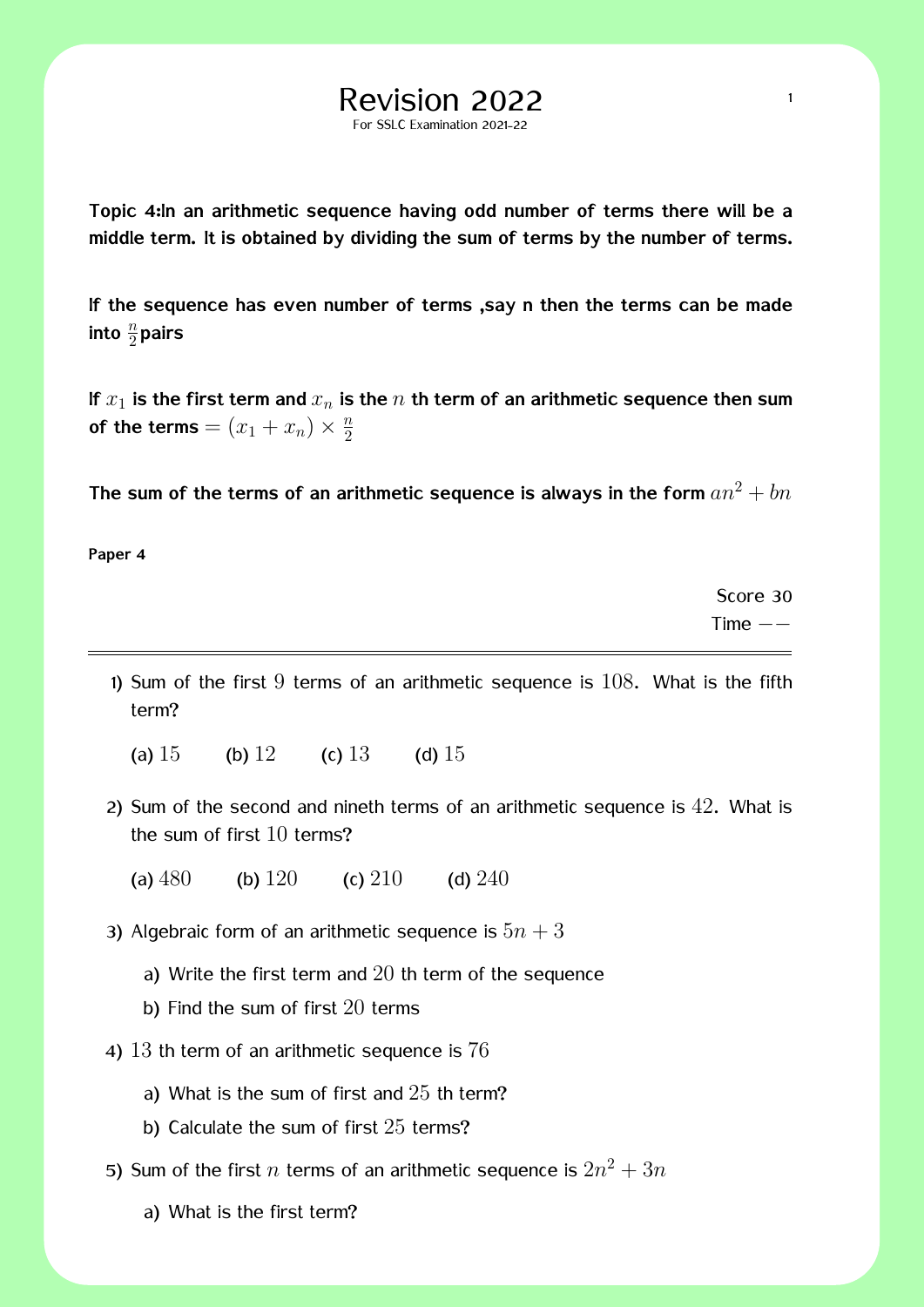**Topic 4:In an arithmetic sequence having odd number of terms there will be a middle term. It is obtained by dividing the sum of terms by the number of terms.**

For SSLC Examination 2021-22

**If the sequence has even number of terms ,say n then the terms can be made** into  $\frac{n}{2}$ pairs

**If** *x*<sup>1</sup> **is the first term and** *x<sup>n</sup>* **is the** *n* **th term of an arithmetic sequence then sum of the terms** =  $(x_1 + x_n) \times \frac{n}{2}$ 2

The sum of the terms of an arithmetic sequence is always in the form  $a n^2 + b n$ 

**Paper 4**

Score 30 Time *−−*

- 1) Sum of the first  $9$  terms of an arithmetic sequence is  $108$ . What is the fifth term?
	- (a)  $15$  (b)  $12$  (c)  $13$  (d)  $15$
- 2) Sum of the second and nineth terms of an arithmetic sequence is 42. What is the sum of first 10 terms?
	- (a)  $480$  (b)  $120$  (c)  $210$  (d)  $240$

3) Algebraic form of an arithmetic sequence is  $5n + 3$ 

- a) Write the first term and 20 th term of the sequence
- b) Find the sum of first 20 terms
- 4) 13 th term of an arithmetic sequence is 76
	- a) What is the sum of first and  $25$  th term?
	- b) Calculate the sum of first 25 terms?
- 5) Sum of the first  $n$  terms of an arithmetic sequence is  $2n^2 + 3n$ 
	- a) What is the first term?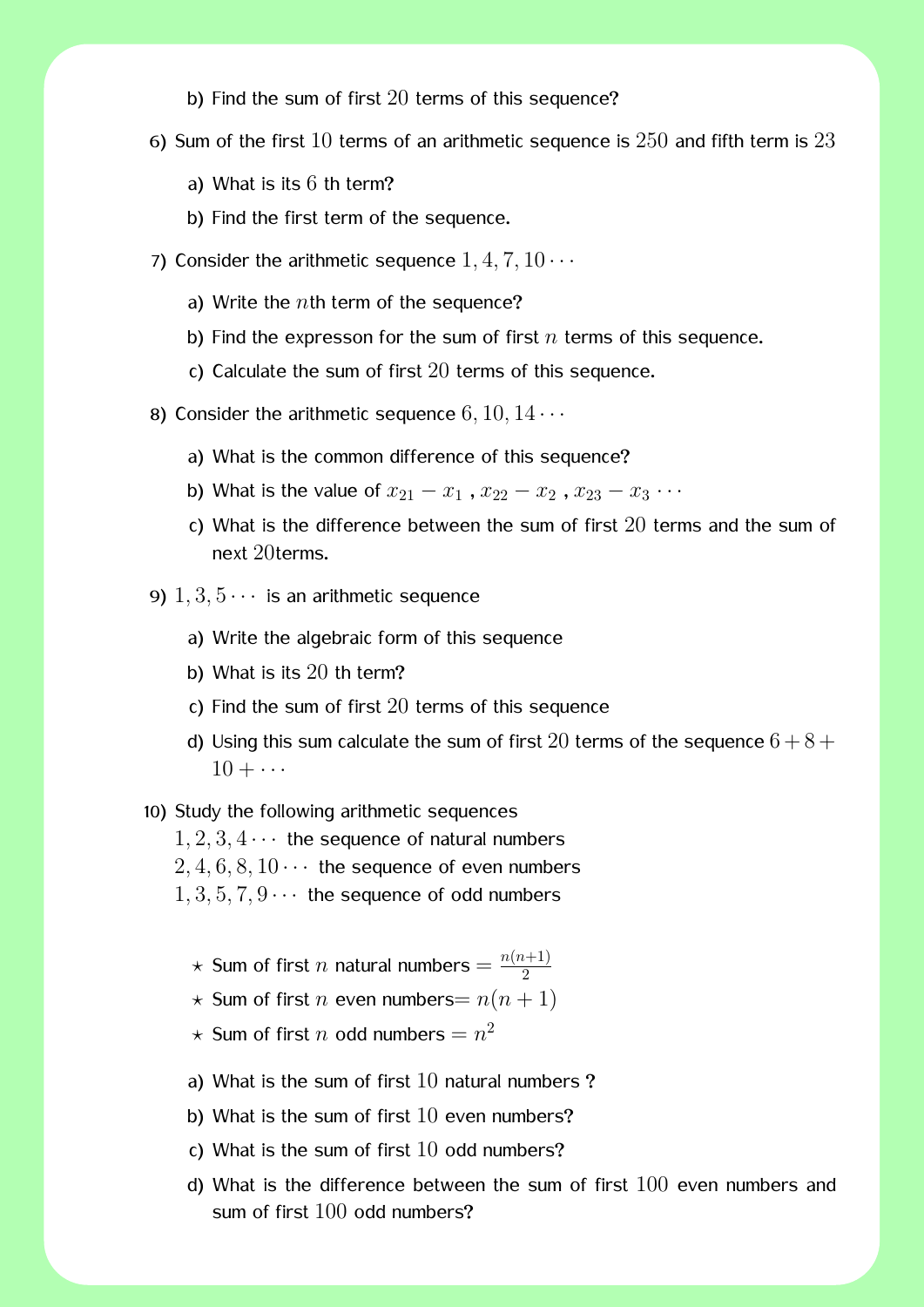- b) Find the sum of first  $20$  terms of this sequence?
- 6) Sum of the first  $10$  terms of an arithmetic sequence is  $250$  and fifth term is  $23$ 
	- a) What is its  $6$  th term?
	- b) Find the first term of the sequence.
- 7) Consider the arithmetic sequence  $1, 4, 7, 10 \cdots$ 
	- a) Write the *n*th term of the sequence?
	- b) Find the expresson for the sum of first *n* terms of this sequence.
	- c) Calculate the sum of first 20 terms of this sequence.
- 8) Consider the arithmetic sequence  $6, 10, 14 \cdots$ 
	- a) What is the common difference of this sequence?
	- b) What is the value of  $x_{21} x_1$ ,  $x_{22} x_2$ ,  $x_{23} x_3 \cdots$
	- c) What is the difference between the sum of first 20 terms and the sum of next 20terms.
- 9)  $1, 3, 5 \cdots$  is an arithmetic sequence
	- a) Write the algebraic form of this sequence
	- b) What is its 20 th term?
	- c) Find the sum of first  $20$  terms of this sequence
	- d) Using this sum calculate the sum of first 20 terms of the sequence  $6 + 8 +$  $10 + \cdots$
- 10) Study the following arithmetic sequences
	- $1, 2, 3, 4 \cdots$  the sequence of natural numbers
	- $2, 4, 6, 8, 10 \cdots$  the sequence of even numbers
	- $1, 3, 5, 7, 9 \cdots$  the sequence of odd numbers
		- $\star$  Sum of first  $n$  natural numbers  $= \frac{n(n+1)}{2}$ 2
		- $\star$  Sum of first *n* even numbers=  $n(n + 1)$

 $\star$  Sum of first  $n$  odd numbers  $=n^2$ 

- a) What is the sum of first  $10$  natural numbers?
- b) What is the sum of first  $10$  even numbers?
- c) What is the sum of first 10 odd numbers?
- d) What is the difference between the sum of first 100 even numbers and sum of first 100 odd numbers?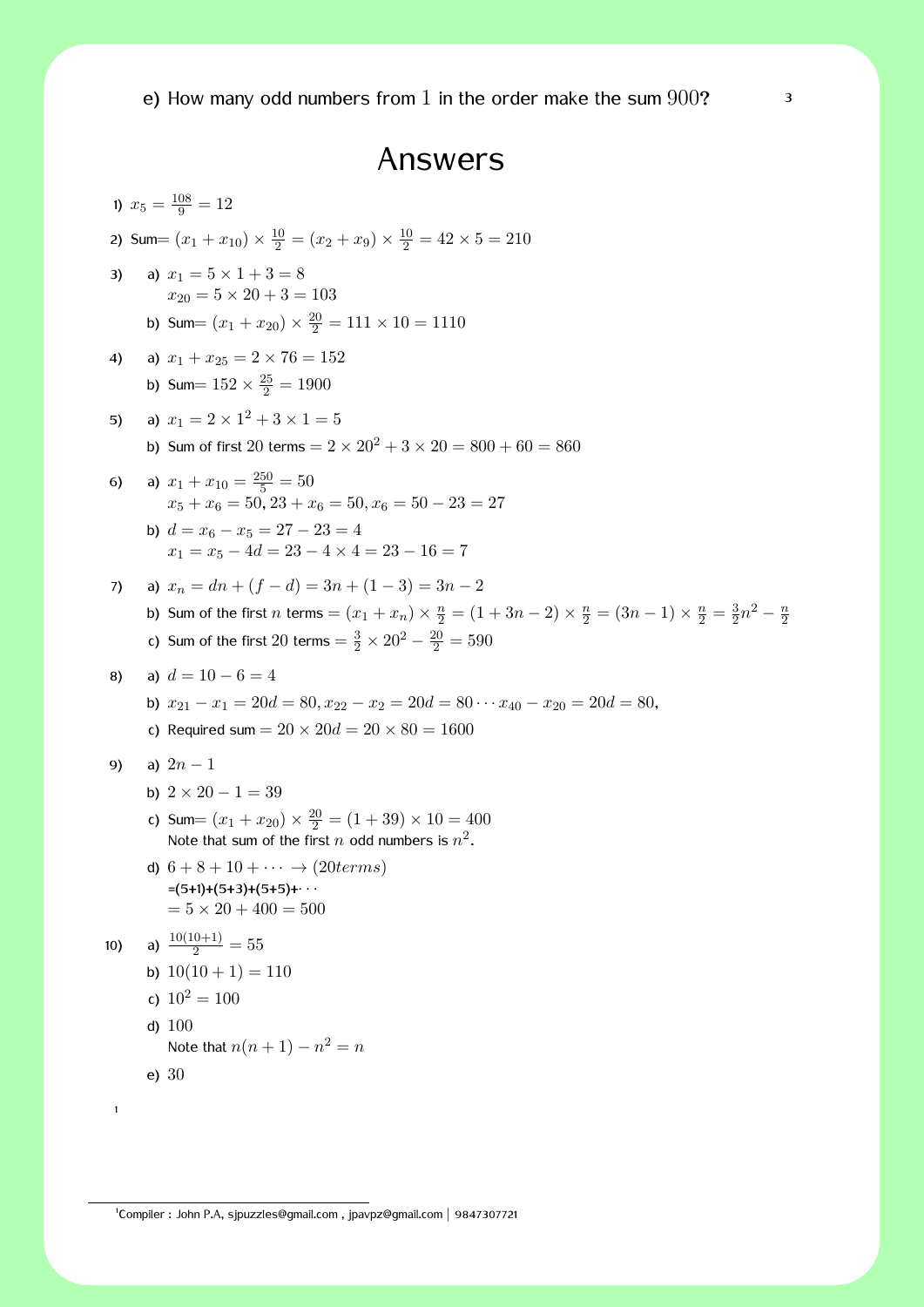e) How many odd numbers from 1 in the order make the sum  $900$ ?  $320$ 

### Answers

1)  $x_5 = \frac{108}{9} = 12$ 2) Sum =  $(x_1 + x_{10}) \times \frac{10}{2} = (x_2 + x_9) \times \frac{10}{2} = 42 \times 5 = 210$ 3) a)  $x_1 = 5 \times 1 + 3 = 8$  $x_{20} = 5 \times 20 + 3 = 103$ b) Sum=  $(x_1 + x_{20}) \times \frac{20}{2} = 111 \times 10 = 1110$ 4) a)  $x_1 + x_{25} = 2 \times 76 = 152$ b) Sum=  $152 \times \frac{25}{2} = 1900$ 5) a)  $x_1 = 2 \times 1^2 + 3 \times 1 = 5$ b) Sum of first 20 terms  $= 2 \times 20^2 + 3 \times 20 = 800 + 60 = 860$ 6) a)  $x_1 + x_{10} = \frac{250}{5} = 50$  $x_5 + x_6 = 50$ ,  $23 + x_6 = 50$ ,  $x_6 = 50 - 23 = 27$ **b**)  $d = x_6 - x_5 = 27 - 23 = 4$  $x_1 = x_5 - 4d = 23 - 4 \times 4 = 23 - 16 = 7$ 7) a)  $x_n = dn + (f - d) = 3n + (1 - 3) = 3n - 2$ b) Sum of the first *n* terms =  $(x_1 + x_n) \times \frac{n}{2} = (1 + 3n - 2) \times \frac{n}{2} = (3n - 1) \times \frac{n}{2} = \frac{3}{2}$  $\frac{3}{2}n^2 - \frac{n}{2}$ 2 c) Sum of the first 20 terms  $=$   $\frac{3}{2} \times 20^2 - \frac{20}{2} = 590$ 8) a)  $d = 10 - 6 = 4$ **b**)  $x_{21} - x_1 = 20d = 80, x_{22} - x_2 = 20d = 80 \cdot \cdot \cdot x_{40} - x_{20} = 20d = 80$ c) Required sum =  $20 \times 20d = 20 \times 80 = 1600$ 9) a) 2*n −* 1 b)  $2 \times 20 - 1 = 39$ c) Sum  $=(x_1 + x_{20}) \times \frac{20}{2} = (1 + 39) \times 10 = 400$ Note that sum of the first  $n$  odd numbers is  $n^2$ . d)  $6 + 8 + 10 + \cdots \rightarrow (20 terms)$ =(5+1)+(5+3)+(5+5)+*· · ·*  $= 5 \times 20 + 400 = 500$ 10) a)  $\frac{10(10+1)}{2} = 55$ b)  $10(10 + 1) = 110$ c)  $10^2 = 100$ d) 100 Note that  $n(n+1) - n^2 = n$ e) 30 1

1 Compiler : John P.A, sjpuzzles@gmail.com , jpavpz@gmail.com *|* 9847307721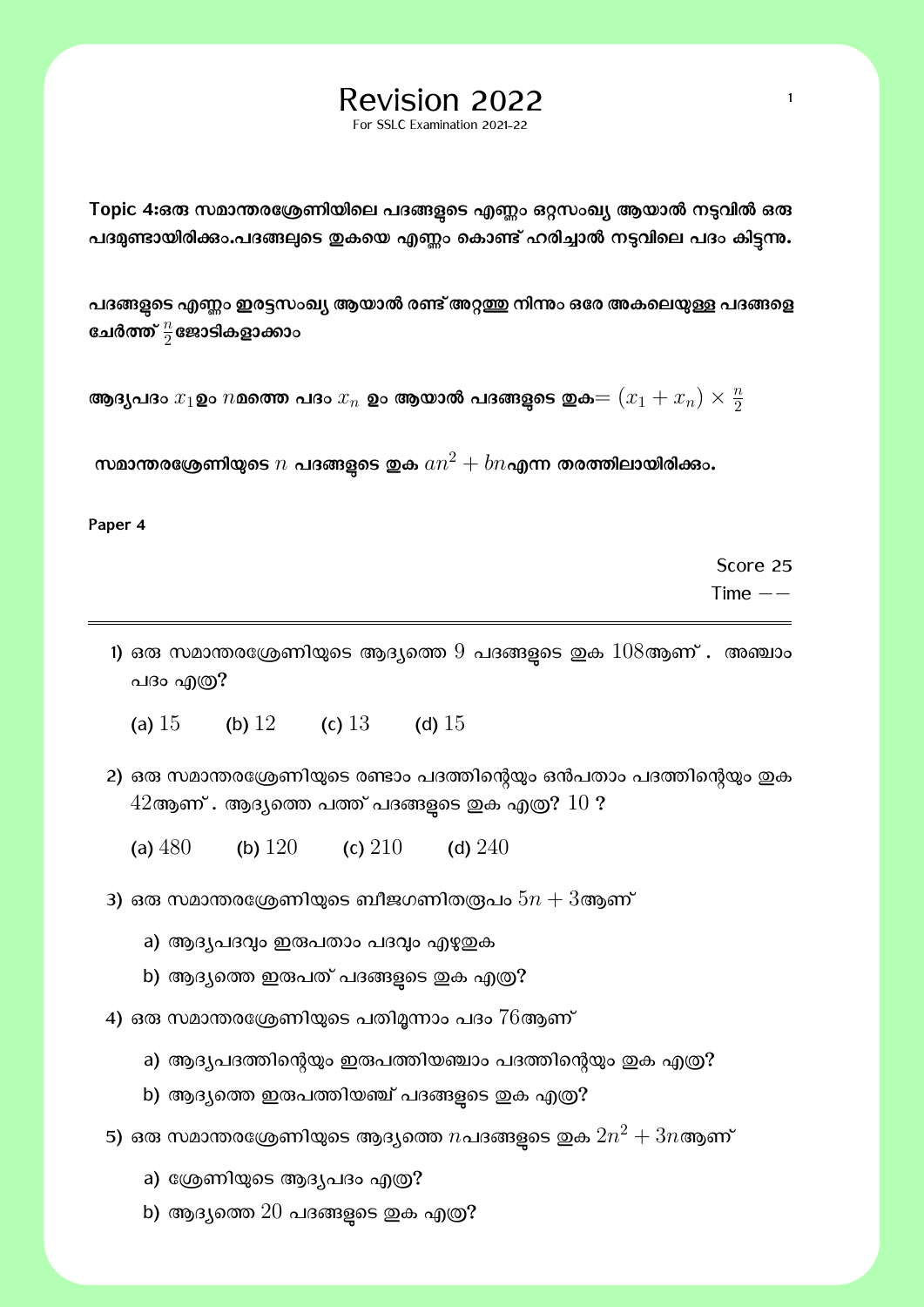For SSLC Examination 2021-22

Topic 4:ഒ**രു സമാന്തരശ്രേണിയിലെ പദങ്ങളുടെ എണ്ണം ഒറ്റ**സംഖ്യ ആയാൽ നടുവിൽ ഒരു പദമുണ്ടായിരിക്കാ.പദങ്ങലുടെ ഇകയെ എണ്ണം കൊണ്ട് ഹരിച്ചാൽ നടുവിലെ പദം കിട്ടന്നു.

പദങ്ങളുടെ എണ്ണം ഇരട്ടസംഖ്യ ആയാൽ രണ്ട് അറ്റത്തു നിന്നും ഒരേ അകലെയുള്ള പദങ്ങളെ ഭചർത്ത്  $\frac{n}{2}$ ജോടികളാക്കാം

ആദ്യപദം  $x_1$ ഉം  $n$ മത്തെ പദം  $x_n$  ഉം ആയാൽ പദങ്ങളുടെ ഇക $=(x_1+x_n)\times \frac{n}{2}$ 2

 $\boldsymbol{m}$ മാന്തരശ്രേണിയുടെ  $n$  പദങ്ങളുടെ ഇക  $an^2 + bn$ എന്ന തരത്തിലായിരിക്കാ $\boldsymbol{\cdot}$ 

**Paper 4**

Score 25 Time *−−*

1) ഒരു സമാന്തരശ്രേണിയുടെ ആദ്യത്തെ  $9$  പദങ്ങളുടെ ഇക  $108$ ആണ് . അഞ്ചാം പദം എത്ര?

(a)  $15$  (b)  $12$  (c)  $13$  (d)  $15$ 

- 2) ഒരു സമാന്തരശ്രേണിയുടെ രണ്ടാം പദത്തിന്റെയും ഒൻപതാം പദത്തിന്റെയും ഇക  $42$ ആണ് . ആദ്യത്തെ പത്ത് പദങ്ങളടെ ഇക എത്ര?  $10$  ?
	- (a)  $480$  (b)  $120$  (c)  $210$  (d)  $240$
- 3) ഒരു സമാന്തരശ്രേണിയുടെ ബീജഗണിതര്രപം  $5n + 3$ ആണ്
	- a) ആദ്യപദവും ഇരുപതാം പദവും എഴുതുക
	- b) ആദ്യത്തെ ഇരുപത് പദങ്ങളുടെ ഇക എത്ര?
- 4) ഒരു സമാന്തരശ്രേണിയുടെ പതിമൂന്നാം പദം  $76$ ആണ്
	- a) ആദ്യപദത്തിന്റെയും ഇരുപത്തിയഞ്ചാം പദത്തിന്റെയും ഇക എത്ര?
	- b) ആദ്യത്തെ ഇരുപത്തിയഞ്ച് പദങ്ങളടെ ഇക എത്ര?
- $\sigma$ 5) ഒരു സമാന്തരശ്രേണിയുടെ ആദ്യത്തെ  $n$ പദങ്ങളുടെ ഇക  $2n^2+3n$ ആണ്
	- a) ശ്രേണിയുടെ ആദ്യപദം എത്ര?
	- b) ആദ്യത്തെ  $20$  പദങ്ങളടെ ഇക എത്ര?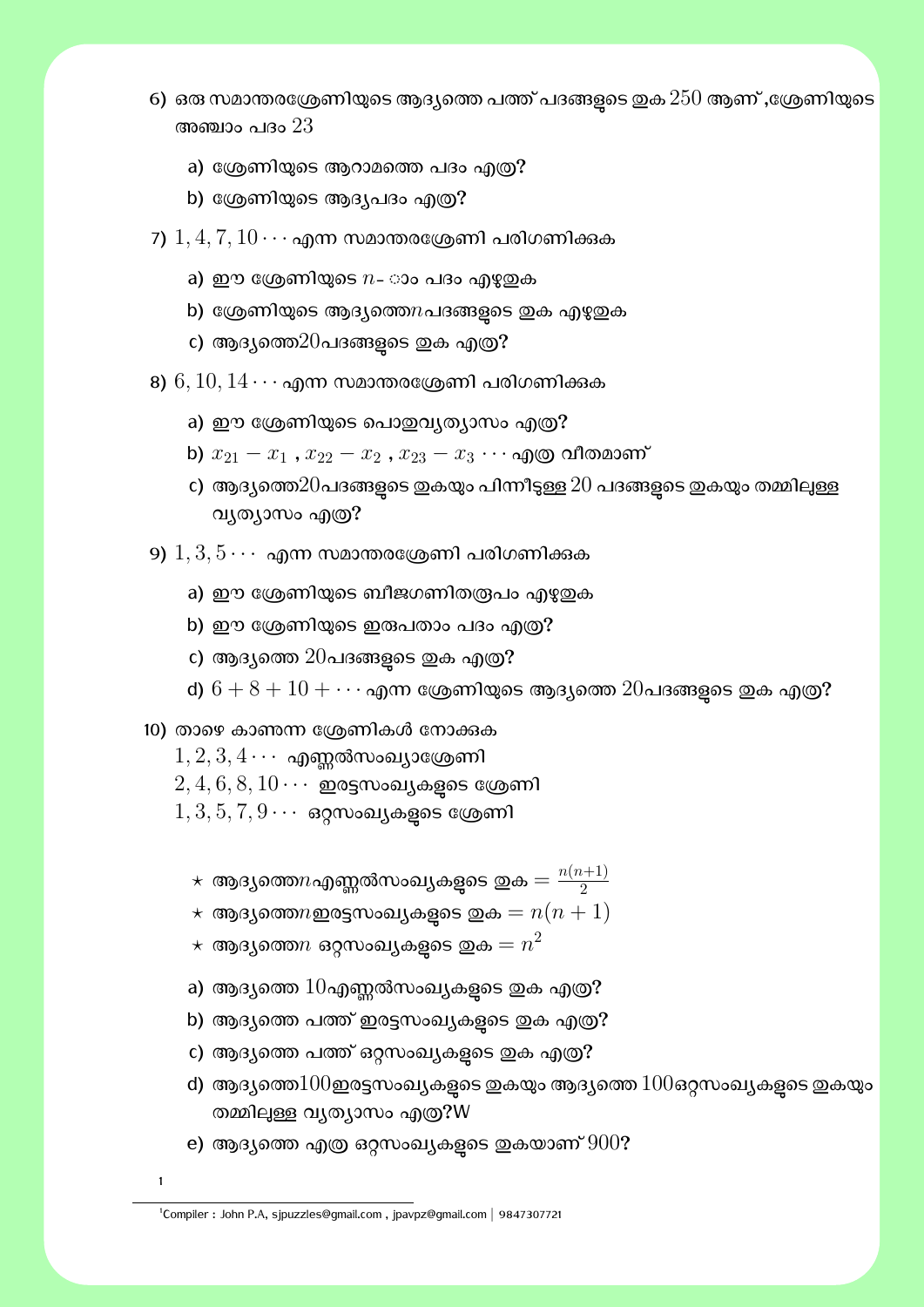- 6) ഒരു സമാന്തരശ്രേണിയുടെ ആദ്യത്തെ പത്ത് പദങ്ങളടെ ഇക  $250$  ആണ് ,ശ്രേണിയുടെ അഞ്ചാം പദം  $23\,$ 
	- a) ശ്രേണിയുടെ ആറാമത്തെ പദം എത്ര?
	- b) ശ്രേണിയുടെ ആദ്യപദം എത്ര?
- 7)  $1, 4, 7, 10 \cdots$  എന്ന സമാന്തരശ്രേണി പരിഗണിക്കുക
	- a) ഈ ശ്രേണിയുടെ  $n$  ാം പദം എഴുതുക
	- b) ശ്രേണിയുടെ ആദ്യത്തെ $n$ പദങ്ങളടെ ഇക എഴുതുക
	- c) ആദ്യത്തെ $20$ പദങ്ങളുടെ ഇക എത്ര?
- 8)  $6, 10, 14 \cdots$  എന്ന സമാന്തരശ്രേണി പരിഗണിക്കുക
	- a) ഈ ശ്രേണിയുടെ പൊഇവ്യത്യാസം എത്ര?
	- b)  $x_{21} x_1$  ,  $x_{22} x_2$  ,  $x_{23} x_3 \cdots$  എത്ര വീതമാണ്
	- c) ആദ്യത്തെ $20$ പദങ്ങളടെ ഇകയും പിന്നീടുള്ള  $20$  പദങ്ങളടെ ഇകയും തമ്മിലുള്ള വൃത്യാസം എത്ര?
- 9)  $1, 3, 5 \cdots$  എന്ന സമാന്തരശ്രേണി പരിഗണിക്കുക
	- a) ഈ ശ്രേണിയുടെ ബീജഗണിതരൂപം എഴുഇക
	- b) ഈ ശ്രേണിയുടെ ഇരുപതാം പദം എത്ര?
	- c) ആദ്യത്തെ  $20$ പദങ്ങളുടെ ഇക എത്ര?
	- d)  $6 + 8 + 10 + \cdots$  എന്ന ശ്രേണിയുടെ ആദ്യത്തെ  $20$ പദങ്ങളുടെ ഇക എത്ര?
- 10) താഴെ കാണന്ന ശ്രേണികൾ നോക്കുക
	- $1, 2, 3, 4 \cdots$  എണ്ണൽസംഖ്യാശ്രേണി
	- $2, 4, 6, 8, 10 \cdots$  ഇരട്ടസംഖ്യകളുടെ ശ്രേണി
	- $1, 3, 5, 7, 9 \cdots$  ഒറ്റസംഖ്യകളുടെ ശ്രേണി
		- $\star$  ആദ്യത്തെ $n$ എണ്ണൽസംഖ്യകളുടെ ഇക $= \frac{n(n+1)}{2}$ 2
		- $\star$  ആദ്യത്തെ $n$ ഇരട്ടസംഖ്യകളടെ ഇക  $=n(n+1)$
		- $\star$  ആദ്യത്തെ $n$  ഒറ്റസംഖ്യകളുടെ ഇക $= n^2$
		- a) ആദ്യത്തെ  $10$ എണ്ണൽസംഖ്യകളുടെ ഇക എത്ര?
		- b) ആദ്യത്തെ പത്ത് ഇരട്ടസംഖ്യകളുടെ ഇക എത്ര?
		- c) ആദ്യത്തെ പത്ത് ഒറ്റസംഖ്യകളടെ ഇക എത്ര?
		- d) ആദ്യത്തെ $100$ ഇരട്ടസംഖ്യകളടെ ഇകയും ആദ്യത്തെ  $100$ ഒറ്റസംഖ്യകളടെ ഇകയും തമ്മിലുള്ള വൃത്യാസം എത്ര?W
		- e) ആദ്യത്തെ എത്ര ഒറ്റസംഖ്യകളുടെ ഇകയാണ്  $900$ ?
	- 1

<sup>1</sup> Compiler : John P.A, sjpuzzles@gmail.com , jpavpz@gmail.com *|* 9847307721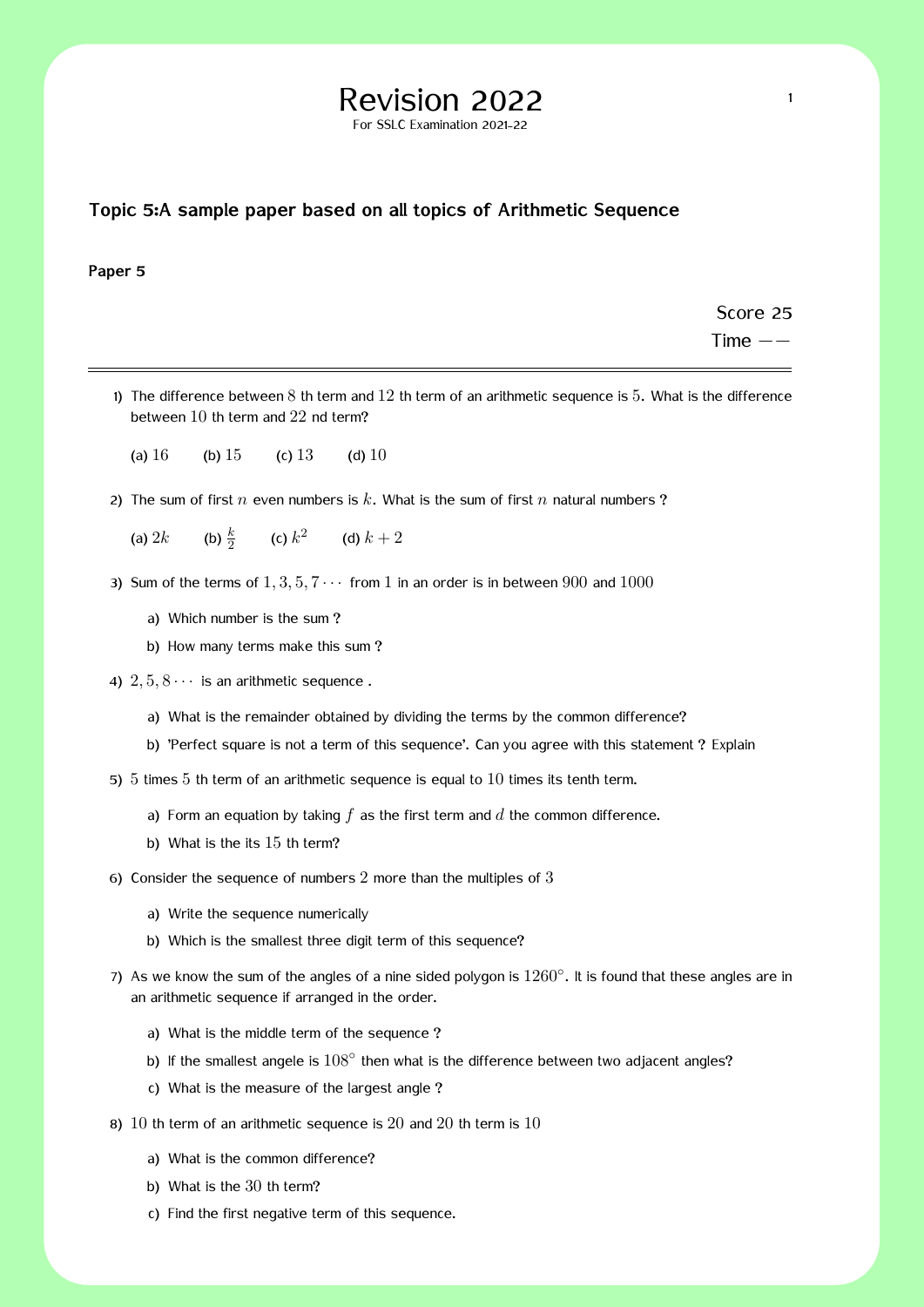# Revision 2022  $\frac{1}{1}$

For SSLC Examination 2021-22

#### **Topic 5:A sample paper based on all topics of Arithmetic Sequence**

#### **Paper 5**

Score 25 Time *−−*

- 1) The difference between  $8$  th term and  $12$  th term of an arithmetic sequence is  $5$ . What is the difference between 10 th term and 22 nd term?
	- (a)  $16$  (b)  $15$  (c)  $13$  (d)  $10$
- 2) The sum of first *n* even numbers is *k*. What is the sum of first *n* natural numbers ?
	- (a)  $2k$  (b)  $\frac{k}{2}$  (c)  $k^2$  (d)  $k+2$
- 3) Sum of the terms of  $1, 3, 5, 7 \cdots$  from 1 in an order is in between 900 and 1000
	- a) Which number is the sum ?
	- b) How many terms make this sum ?
- 4)  $2, 5, 8 \cdots$  is an arithmetic sequence.
	- a) What is the remainder obtained by dividing the terms by the common difference?
	- b) 'Perfect square is not a term of this sequence'. Can you agree with this statement ? Explain
- 5) 5 times 5 th term of an arithmetic sequence is equal to 10 times its tenth term.
	- a) Form an equation by taking *f* as the first term and *d* the common difference.
	- b) What is the its 15 th term?
- 6) Consider the sequence of numbers 2 more than the multiples of 3
	- a) Write the sequence numerically
	- b) Which is the smallest three digit term of this sequence?
- 7) As we know the sum of the angles of a nine sided polygon is 1260*◦* . It is found that these angles are in an arithmetic sequence if arranged in the order.
	- a) What is the middle term of the sequence ?
	- b) If the smallest angele is  $108^\circ$  then what is the difference between two adjacent angles?
	- c) What is the measure of the largest angle ?
- 8) 10 th term of an arithmetic sequence is 20 and 20 th term is 10
	- a) What is the common difference?
	- b) What is the 30 th term?
	- c) Find the first negative term of this sequence.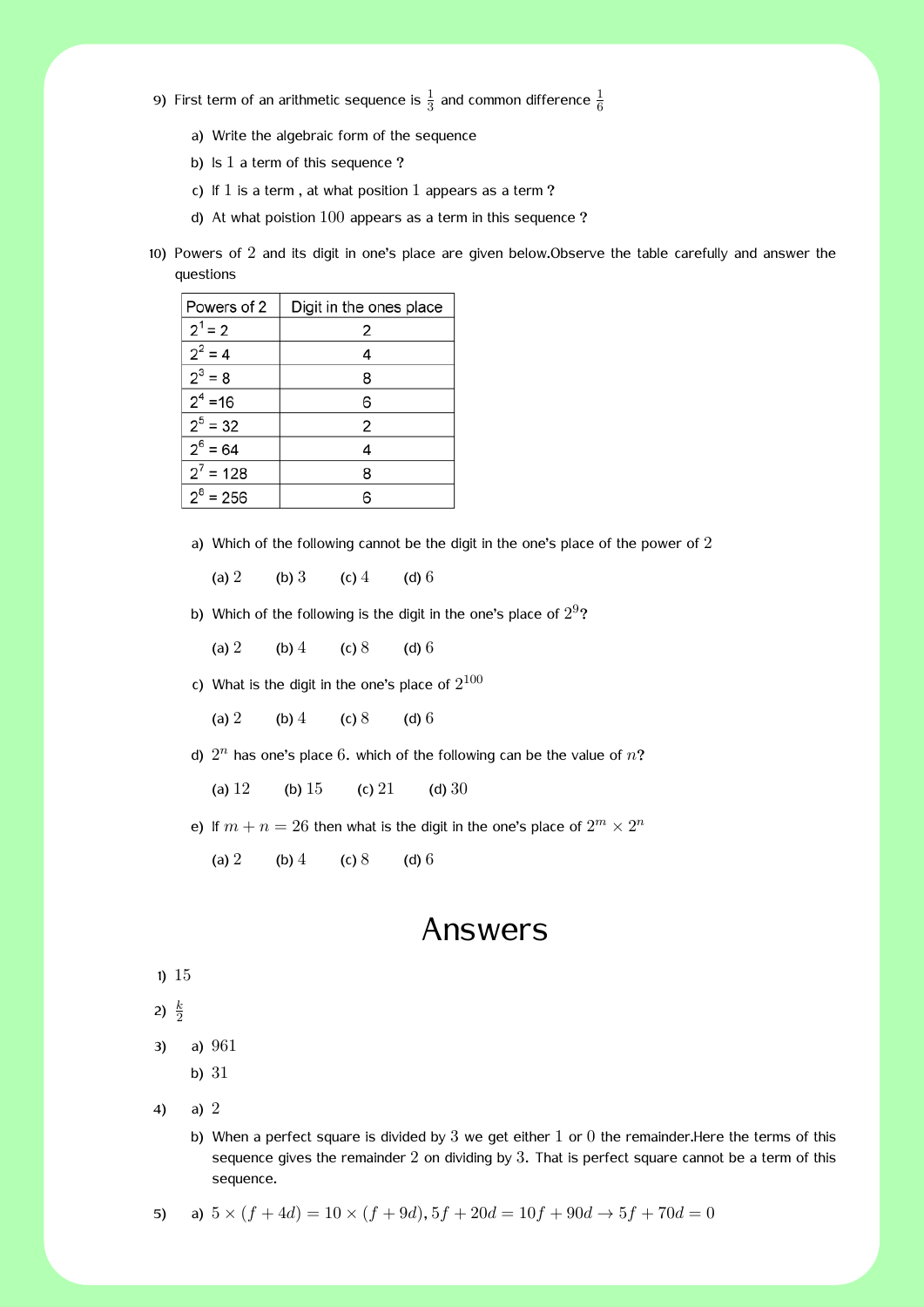- 9) First term of an arithmetic sequence is  $\frac{1}{3}$  and common difference  $\frac{1}{6}$ 
	- a) Write the algebraic form of the sequence
	- b) Is 1 a term of this sequence ?
	- c) If  $1$  is a term, at what position  $1$  appears as a term?
	- d) At what poistion 100 appears as a term in this sequence ?
	- 10) Powers of 2 and its digit in one's place are given below.Observe the table carefully and answer the questions

| Powers of 2 | Digit in the ones place |
|-------------|-------------------------|
| $2^1 = 2$   | 2                       |
| $2^2 = 4$   | 4                       |
| $2^3 = 8$   | 8                       |
| $2^4$ = 16  | 6                       |
| $2^5 = 32$  | 2                       |
| $2^6 = 64$  | 4                       |
| $2^7$ = 128 | 8                       |
| $2^8$ = 256 | 6                       |

a) Which of the following cannot be the digit in the one's place of the power of 2

(a) 2 (b) 3 (c) 4 (d) 6

b) Which of the following is the digit in the one's place of  $2^9$ ?

(a) 2 (b) 4 (c) 8 (d) 6

c) What is the digit in the one's place of  $2^{100}$ 

(a) 2 (b) 4 (c) 8 (d) 6

d)  $2^n$  has one's place 6. which of the following can be the value of  $n$ ?

(a)  $12$  (b)  $15$  (c)  $21$  (d)  $30$ 

- e) If  $m + n = 26$  then what is the digit in the one's place of  $2^m \times 2^n$ 
	- (a) 2 (b) 4 (c) 8 (d) 6

### Answers

1) 15

2)  $\frac{k}{2}$ 

3) a) 961

- b) 31
- 4) a) 2
	- b) When a perfect square is divided by  $3$  we get either  $1$  or  $0$  the remainder. Here the terms of this sequence gives the remainder  $2$  on dividing by  $3$ . That is perfect square cannot be a term of this sequence.

5) a) 
$$
5 \times (f + 4d) = 10 \times (f + 9d), 5f + 20d = 10f + 90d \rightarrow 5f + 70d = 0
$$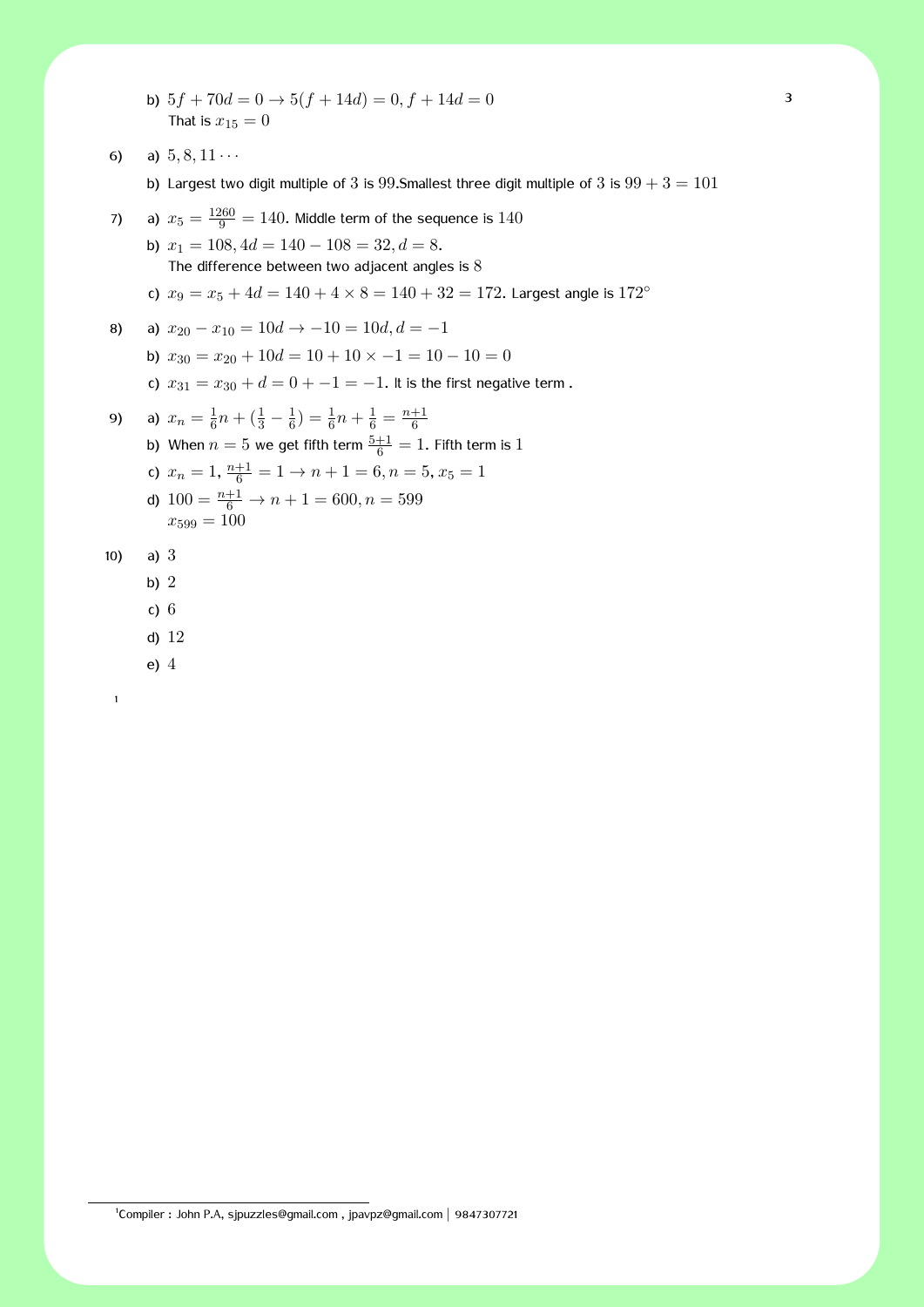b)  $5f + 70d = 0 \rightarrow 5(f + 14d) = 0, f + 14d = 0$  3 That is  $x_{15} = 0$ 

6) a) 
$$
5, 8, 11 \cdots
$$

b) Largest two digit multiple of  $3$  is  $99$ . Smallest three digit multiple of  $3$  is  $99 + 3 = 101$ 

7) a) 
$$
x_5 = \frac{1260}{9} = 140
$$
. Middle term of the sequence is 140

b)  $x_1 = 108, 4d = 140 - 108 = 32, d = 8.$ The difference between two adjacent angles is 8

c) 
$$
x_9 = x_5 + 4d = 140 + 4 \times 8 = 140 + 32 = 172
$$
. Largest angle is 172<sup>o</sup>

8) a) 
$$
x_{20} - x_{10} = 10d \rightarrow -10 = 10d, d = -1
$$

- b)  $x_{30} = x_{20} + 10d = 10 + 10 \times -1 = 10 10 = 0$
- c)  $x_{31} = x_{30} + d = 0 + -1 = -1$ . It is the first negative term.

9) a) 
$$
x_n = \frac{1}{6}n + (\frac{1}{3} - \frac{1}{6}) = \frac{1}{6}n + \frac{1}{6} = \frac{n+1}{6}
$$
  
\nb) When  $n = 5$  we get fifth term  $\frac{5+1}{6} = 1$ . Fifth term is 1  
\nc)  $x_n = 1$ ,  $\frac{n+1}{6} = 1 \rightarrow n + 1 = 6, n = 5, x_5 = 1$   
\nd)  $100 = \frac{n+1}{6} \rightarrow n + 1 = 600, n = 599$   
\n $x_{599} = 100$ 

$$
10) \qquad a) \; 3
$$

- b) 2
- c) 6
- d) 12
- e) 4

1

<sup>1</sup> Compiler : John P.A, sjpuzzles@gmail.com , jpavpz@gmail.com *|* 9847307721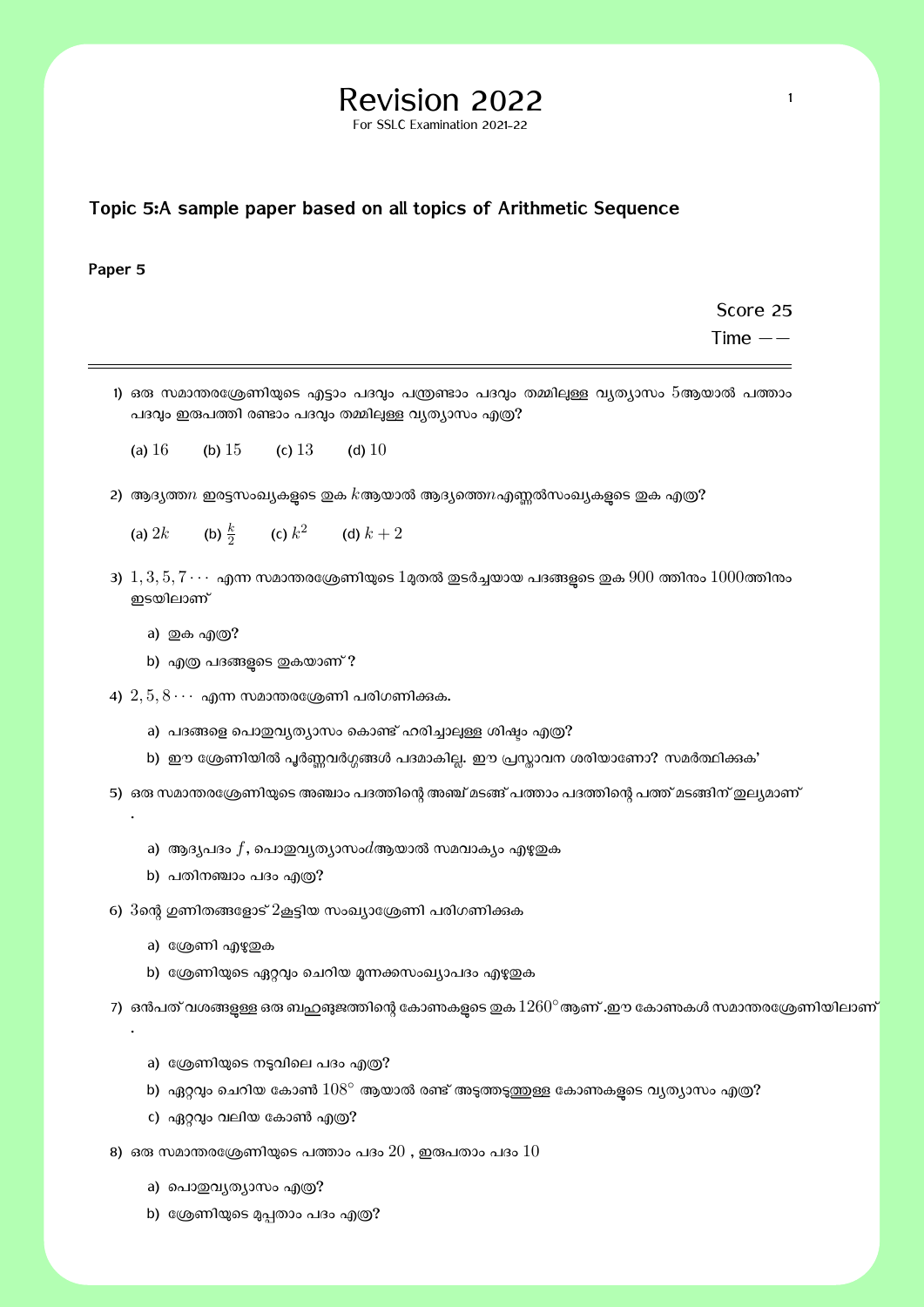# $\mathsf{Revision}$  2022 1

For SSLC Examination 2021-22

#### **Topic 5:A sample paper based on all topics of Arithmetic Sequence**

#### **Paper 5**

Score 25

Time *−−*

- 1) ഒരു സമാന്തരശ്രേണിയുടെ എട്ടാം പദവും പന്ത്രണ്ടാം പദവും തമ്മിലുള്ള വ്യത്യാസം 5ആയാൽ പത്താം പദവും ഇരുപത്തി രണ്ടാം പദവും തമ്മിലുള്ള വൃത്യാസം എത്ര?
	- (a)  $16$  (b)  $15$  (c)  $13$  (d)  $10$
- 2) ആദ്യത്ത $n$  ഇരട്ടസംഖ്യകളടെ ഇക  $k$ ആയാൽ ആദ്യത്തെ $n$ എണ്ണൽസംഖ്യകളടെ ഇക എത്ര?
	- (a)  $2k$ (b)  $\frac{k}{2}$ (c)  $k^2$  (d)  $k+2$
- $3)$   $1, 3, 5, 7 \cdots$  എന്ന സമാന്തരശ്രേണിയുടെ  $1$ മ്പത്തി ഇടർച്ചയായ പദങ്ങളുടെ ഇക  $900$  ത്തിനും  $1000$ ത്തിനും ഇടയിലാണ്
	- a) ഇക എ**ത്ര**?

.

.

- b) എത്ര പദങ്ങളടെ ഇകയാണ് ?
- 4)  $2, 5, 8 \cdots$  എന്ന സമാന്തരശ്രേണി പരിഗണിക്കുക.
	- a) പദങ്ങളെ പൊതുവ്യത്യാസം കൊണ്ട് ഹരിച്ചാലുള്ള ശിഷ്ടം എത്ര?
	- b) ഈ ശ്രേണിയിൽ പൂർണ്ണവർഗ്ഗങ്ങൾ പദമാകില്ല. ഈ പ്രസ്കാവന ശരിയാണോ? സമർത്ഥിക്കക'
- 5) ഒരു സമാന്തരശ്രേണിയുടെ അഞ്ചാം പദത്തിന്റെ അഞ്ച് മടങ്ങ് പത്താം പദത്തിന്റെ പത്ത് മടങ്ങിന് ഇല്യമാണ്
	- a) ആദ്യപദം  $f$ , പൊതുവൃത്യാസം $d$ ആയാൽ സമവാക്യം എഴുതുക
	- b) പതിനഞ്ചാം പദം എത്ര?
- 6)  $3$ ന്റെ ഗുണിതങ്ങളോട്  $2$ കൂട്ടിയ സംഖ്യാശ്രേണി പരിഗണിക്കുക
	- a) ശ്രേണി എഴുതക
	- b) ശ്രേണിയുടെ ഏറ്റവും ചെറിയ മൂന്നക്കസംഖ്യാപദം എഴുതുക

7) ഒൻപത് വശങ്ങളുള്ള ഒരു ബഹുങുജത്തിന്റെ കോണകളുടെ ഇക  $1260^\circ$ ആണ് .ഈ കോണകൾ സമാന്തരശ്രേണിയിലാണ്

- a) ശ്രേണിയുടെ നടുവിലെ പദം എത്ര?
- b) ഏറ്റവും ചെറിയ കോൺ  $108°$  ആയാൽ രണ്ട് അടുത്തടുത്തുള്ള കോണകളടെ വൃത്യാസം എത്ര?
- c) ഏറ്റവും വലിയ കോൺ എത്ര?
- 8) ഒരു സമാന്തരശ്രേണിയുടെ പത്താം പദം  $20$  , ഇരുപതാം പദം  $10$ 
	- a) പൊഇവൃത്യാസം എത്ര?
	- b) ശ്രേണിയുടെ മൂപ്പതാം പദം എത്ര?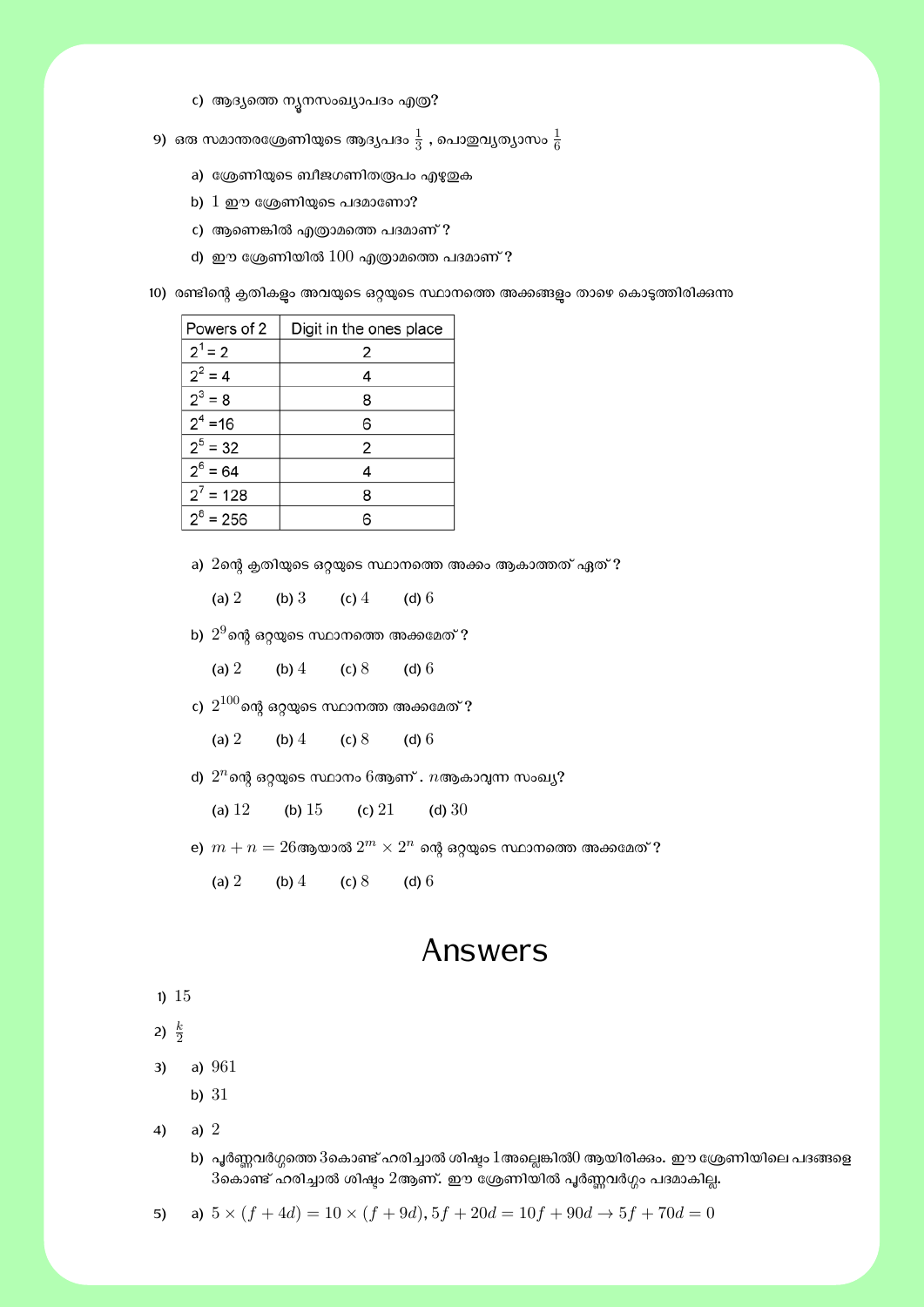- c) ആദ്യത്തെ നൃനസംഖ്യാപദം എത്ര?
- 9) ഒരു സമാന്തരശ്രേണിയുടെ ആദ്യപദം  $\frac{1}{3}$  , പൊഇവ്യത്യാസം  $\frac{1}{6}$ 
	- a) ശ്രേണിയുടെ ബീജഗണിതരൂപം എഴുതുക
	- b)  $1 \nleftrightarrow 1$  ഈ ശ്രേണിയുടെ പദമാണോ?
	- c) ആണെങ്കിൽ എത്രാമത്തെ പദമാണ് ?
	- d) ഈ ശ്രേണിയിൽ  $100$  എത്രാമത്തെ പദമാണ് ?
- 10) രണ്ടിന്റെ ക്വതികളും അവയുടെ ഒറ്റയുടെ സ്ഥാനത്തെ അക്കങ്ങളും താഴെ കൊടുത്തിരിക്കുന്ന

| Powers of 2 | Digit in the ones place |
|-------------|-------------------------|
| $2^1 = 2$   | 2                       |
| $2^2 = 4$   | 4                       |
| $2^3 = 8$   | 8                       |
| $2^4$ = 16  | 6                       |
| $2^5 = 32$  | 2                       |
| $2^6 = 64$  | 4                       |
| $2^7$ = 128 | 8                       |
| $2^8$ = 256 | 6                       |

a)  $2$ ന്റെ ക്ലതിയുടെ ഒറ്റയുടെ സ്ഥാനത്തെ അക്കം ആകാത്തത് ഏത് ?

(a) 2 (b) 3 (c) 4 (d) 6

b)  $2^9$ ന്റെ ഒറ്റയുടെ സ്ഥാനത്തെ അക്കമേത് ?

(a) 2 (b) 4 (c) 8 (d) 6

c)  $2^{100}$ ന്റെ ഒറ്റയുടെ സ്ഥാനത്ത അക്കമേത് ?

(a) 2 (b) 4 (c) 8 (d) 6

d)  $2^n$ ന്റെ ഒറ്റയുടെ സ്ഥാനം 6ആണ് .  $n$ ആകാവുന്ന സംഖ്യ?

(a)  $12$  (b)  $15$  (c)  $21$  (d)  $30$ 

- $\mathbf{e})\,\, m+n=26$ ആയാൽ  $2^m\times 2^n$  ന്റെ ഒറ്റയുടെ സ്ഥാനത്തെ അക്കമേത് ?
	- (a) 2 (b) 4 (c) 8 (d) 6

### Answers

1) 15

$$
2) \frac{k}{2}
$$

3) a) 961

- b) 31
- 4) a) 2
	- b) പൂർണ്ണവർഗ്ഗത്തെ 3കൊണ്ട് ഹരിച്ചാൽ ശിഷ്ടം 1 അല്ലെങ്കിൽ $0$  ആയിരിക്കം. ഈ ശ്രേണിയിലെ പദങ്ങളെ  $3$ കൊണ്ട് ഹരിച്ചാൽ ശിഷ്ടം  $2$ ആണ്. ഈ ശ്രേണിയിൽ പൂർണ്ണവർഗ്ഗം പദമാകില്ല.
- 5) a)  $5 \times (f + 4d) = 10 \times (f + 9d), 5f + 20d = 10f + 90d \rightarrow 5f + 70d = 0$